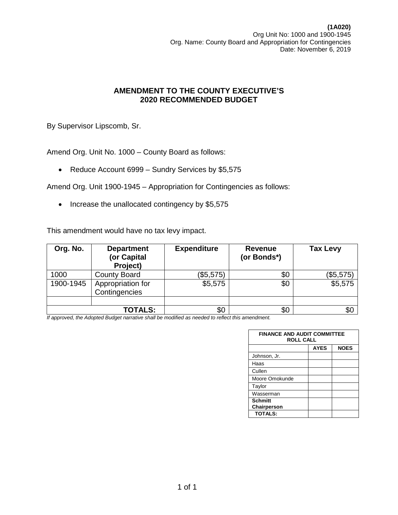By Supervisor Lipscomb, Sr.

Amend Org. Unit No. 1000 – County Board as follows:

• Reduce Account 6999 – Sundry Services by \$5,575

Amend Org. Unit 1900-1945 – Appropriation for Contingencies as follows:

• Increase the unallocated contingency by \$5,575

This amendment would have no tax levy impact.

| Org. No.  | <b>Department</b><br>(or Capital<br>Project) | <b>Expenditure</b> | <b>Revenue</b><br>(or Bonds*) | <b>Tax Levy</b> |
|-----------|----------------------------------------------|--------------------|-------------------------------|-----------------|
| 1000      | <b>County Board</b>                          | (\$5,575)          | \$0                           | (\$5,575)       |
| 1900-1945 | Appropriation for<br>Contingencies           | \$5,575            | \$0                           | \$5,575         |
|           |                                              |                    |                               |                 |
|           | <b>TOTALS:</b>                               | \$0                | \$0                           | \$С             |

| <b>FINANCE AND AUDIT COMMITTEE</b><br><b>ROLL CALL</b> |             |             |  |  |
|--------------------------------------------------------|-------------|-------------|--|--|
|                                                        | <b>AYES</b> | <b>NOES</b> |  |  |
| Johnson, Jr.                                           |             |             |  |  |
| Haas                                                   |             |             |  |  |
| Cullen                                                 |             |             |  |  |
| Moore Omokunde                                         |             |             |  |  |
| Taylor                                                 |             |             |  |  |
| Wasserman                                              |             |             |  |  |
| <b>Schmitt</b><br>Chairperson                          |             |             |  |  |
| <b>TOTALS:</b>                                         |             |             |  |  |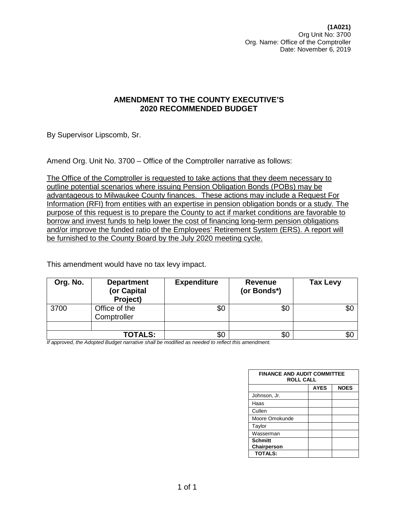By Supervisor Lipscomb, Sr.

Amend Org. Unit No. 3700 – Office of the Comptroller narrative as follows:

The Office of the Comptroller is requested to take actions that they deem necessary to outline potential scenarios where issuing Pension Obligation Bonds (POBs) may be advantageous to Milwaukee County finances. These actions may include a Request For Information (RFI) from entities with an expertise in pension obligation bonds or a study. The purpose of this request is to prepare the County to act if market conditions are favorable to borrow and invest funds to help lower the cost of financing long-term pension obligations and/or improve the funded ratio of the Employees' Retirement System (ERS). A report will be furnished to the County Board by the July 2020 meeting cycle.

This amendment would have no tax levy impact.

| Org. No. | <b>Department</b><br>(or Capital<br>Project) | <b>Expenditure</b> | Revenue<br>(or Bonds*) | <b>Tax Levy</b> |
|----------|----------------------------------------------|--------------------|------------------------|-----------------|
| 3700     | Office of the<br>Comptroller                 | \$0                | \$0                    | \$0             |
|          |                                              |                    |                        |                 |
|          | <b>TOTALS:</b>                               | \$0                | \$0                    |                 |

| <b>FINANCE AND AUDIT COMMITTEE</b><br><b>ROLL CALL</b> |             |             |  |
|--------------------------------------------------------|-------------|-------------|--|
|                                                        | <b>AYES</b> | <b>NOES</b> |  |
| Johnson, Jr.                                           |             |             |  |
| Haas                                                   |             |             |  |
| Cullen                                                 |             |             |  |
| Moore Omokunde                                         |             |             |  |
| Taylor                                                 |             |             |  |
| Wasserman                                              |             |             |  |
| <b>Schmitt</b><br>Chairperson                          |             |             |  |
| <b>TOTALS:</b>                                         |             |             |  |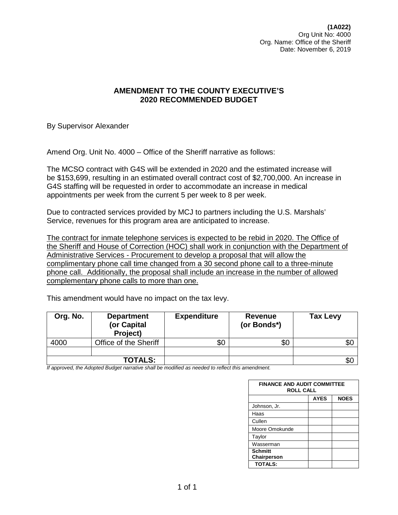**(1A022)** Org Unit No: 4000 Org. Name: Office of the Sheriff Date: November 6, 2019

### **AMENDMENT TO THE COUNTY EXECUTIVE'S 2020 RECOMMENDED BUDGET**

By Supervisor Alexander

Amend Org. Unit No. 4000 – Office of the Sheriff narrative as follows:

The MCSO contract with G4S will be extended in 2020 and the estimated increase will be \$153,699, resulting in an estimated overall contract cost of \$2,700,000. An increase in G4S staffing will be requested in order to accommodate an increase in medical appointments per week from the current 5 per week to 8 per week.

Due to contracted services provided by MCJ to partners including the U.S. Marshals' Service, revenues for this program area are anticipated to increase.

The contract for inmate telephone services is expected to be rebid in 2020. The Office of the Sheriff and House of Correction (HOC) shall work in conjunction with the Department of Administrative Services - Procurement to develop a proposal that will allow the complimentary phone call time changed from a 30 second phone call to a three-minute phone call. Additionally, the proposal shall include an increase in the number of allowed complementary phone calls to more than one.

| Org. No. | <b>Department</b><br>(or Capital<br>Project) | <b>Expenditure</b> | Revenue<br>(or Bonds*) | <b>Tax Levy</b> |
|----------|----------------------------------------------|--------------------|------------------------|-----------------|
| 4000     | Office of the Sheriff                        | \$0                | \$0                    |                 |
|          |                                              |                    |                        |                 |
|          | <b>TOTALS:</b>                               |                    |                        | \$0             |

This amendment would have no impact on the tax levy.

| <b>FINANCE AND AUDIT COMMITTEE</b><br><b>ROLL CALL</b> |             |             |  |  |
|--------------------------------------------------------|-------------|-------------|--|--|
|                                                        | <b>AYES</b> | <b>NOES</b> |  |  |
| Johnson, Jr.                                           |             |             |  |  |
| Haas                                                   |             |             |  |  |
| Cullen                                                 |             |             |  |  |
| Moore Omokunde                                         |             |             |  |  |
| Taylor                                                 |             |             |  |  |
| Wasserman                                              |             |             |  |  |
| <b>Schmitt</b><br>Chairperson                          |             |             |  |  |
| <b>TOTALS:</b>                                         |             |             |  |  |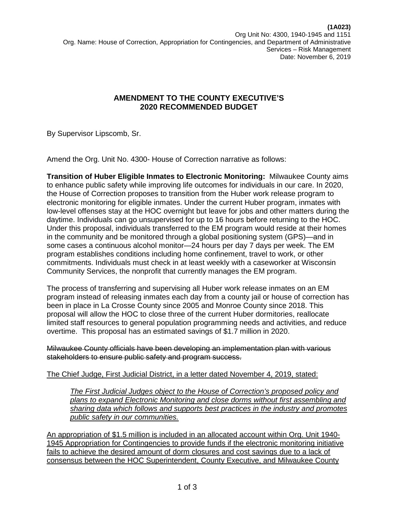By Supervisor Lipscomb, Sr.

Amend the Org. Unit No. 4300- House of Correction narrative as follows:

**Transition of Huber Eligible Inmates to Electronic Monitoring:** Milwaukee County aims to enhance public safety while improving life outcomes for individuals in our care. In 2020, the House of Correction proposes to transition from the Huber work release program to electronic monitoring for eligible inmates. Under the current Huber program, inmates with low-level offenses stay at the HOC overnight but leave for jobs and other matters during the daytime. Individuals can go unsupervised for up to 16 hours before returning to the HOC. Under this proposal, individuals transferred to the EM program would reside at their homes in the community and be monitored through a global positioning system (GPS)—and in some cases a continuous alcohol monitor—24 hours per day 7 days per week. The EM program establishes conditions including home confinement, travel to work, or other commitments. Individuals must check in at least weekly with a caseworker at Wisconsin Community Services, the nonprofit that currently manages the EM program.

The process of transferring and supervising all Huber work release inmates on an EM program instead of releasing inmates each day from a county jail or house of correction has been in place in La Crosse County since 2005 and Monroe County since 2018. This proposal will allow the HOC to close three of the current Huber dormitories, reallocate limited staff resources to general population programming needs and activities, and reduce overtime. This proposal has an estimated savings of \$1.7 million in 2020.

Milwaukee County officials have been developing an implementation plan with various stakeholders to ensure public safety and program success.

The Chief Judge, First Judicial District, in a letter dated November 4, 2019, stated:

*The First Judicial Judges object to the House of Correction's proposed policy and plans to expand Electronic Monitoring and close dorms without first assembling and sharing data which follows and supports best practices in the industry and promotes public safety in our communities.*

An appropriation of \$1.5 million is included in an allocated account within Org. Unit 1940- 1945 Appropriation for Contingencies to provide funds if the electronic monitoring initiative fails to achieve the desired amount of dorm closures and cost savings due to a lack of consensus between the HOC Superintendent, County Executive, and Milwaukee County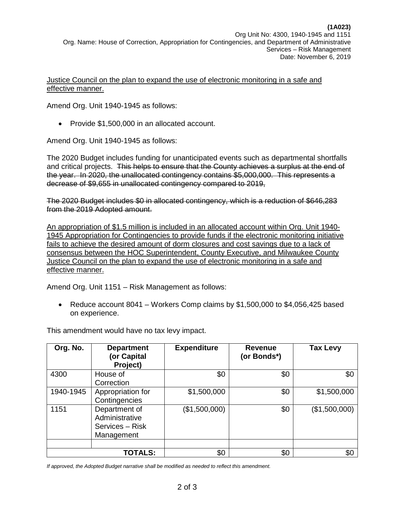Justice Council on the plan to expand the use of electronic monitoring in a safe and effective manner.

Amend Org. Unit 1940-1945 as follows:

• Provide \$1,500,000 in an allocated account.

Amend Org. Unit 1940-1945 as follows:

The 2020 Budget includes funding for unanticipated events such as departmental shortfalls and critical projects. This helps to ensure that the County achieves a surplus at the end of the year. In 2020, the unallocated contingency contains \$5,000,000. This represents a decrease of \$9,655 in unallocated contingency compared to 2019,

The 2020 Budget includes \$0 in allocated contingency, which is a reduction of \$646,283 from the 2019 Adopted amount.

An appropriation of \$1.5 million is included in an allocated account within Org. Unit 1940- 1945 Appropriation for Contingencies to provide funds if the electronic monitoring initiative fails to achieve the desired amount of dorm closures and cost savings due to a lack of consensus between the HOC Superintendent, County Executive, and Milwaukee County Justice Council on the plan to expand the use of electronic monitoring in a safe and effective manner.

Amend Org. Unit 1151 – Risk Management as follows:

• Reduce account 8041 – Workers Comp claims by  $$1,500,000$  to  $$4,056,425$  based on experience.

| Org. No.  | <b>Department</b><br>(or Capital<br>Project)                     | <b>Expenditure</b> | <b>Revenue</b><br>(or Bonds*) | <b>Tax Levy</b> |
|-----------|------------------------------------------------------------------|--------------------|-------------------------------|-----------------|
| 4300      | House of<br>Correction                                           | \$0                | \$0                           | \$0             |
| 1940-1945 | Appropriation for<br>Contingencies                               | \$1,500,000        | \$0                           | \$1,500,000     |
| 1151      | Department of<br>Administrative<br>Services - Risk<br>Management | (\$1,500,000)      | \$0                           | (\$1,500,000)   |
|           | <b>TOTALS:</b>                                                   | \$0                | \$0                           | \$0             |

This amendment would have no tax levy impact.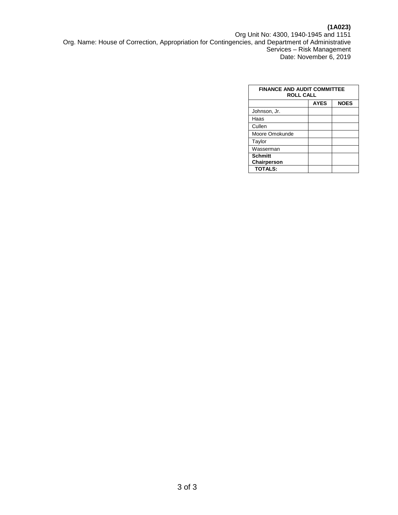# **(1A023)**

Org Unit No: 4300, 1940-1945 and 1151 Org. Name: House of Correction, Appropriation for Contingencies, and Department of Administrative Services – Risk Management Date: November 6, 2019

| <b>FINANCE AND AUDIT COMMITTEE</b><br><b>ROLL CALL</b> |             |             |  |  |
|--------------------------------------------------------|-------------|-------------|--|--|
|                                                        | <b>AYES</b> | <b>NOES</b> |  |  |
| Johnson, Jr.                                           |             |             |  |  |
| Haas                                                   |             |             |  |  |
| Cullen                                                 |             |             |  |  |
| Moore Omokunde                                         |             |             |  |  |
| Taylor                                                 |             |             |  |  |
| Wasserman                                              |             |             |  |  |
| <b>Schmitt</b>                                         |             |             |  |  |
| Chairperson                                            |             |             |  |  |
| <b>TOTALS:</b>                                         |             |             |  |  |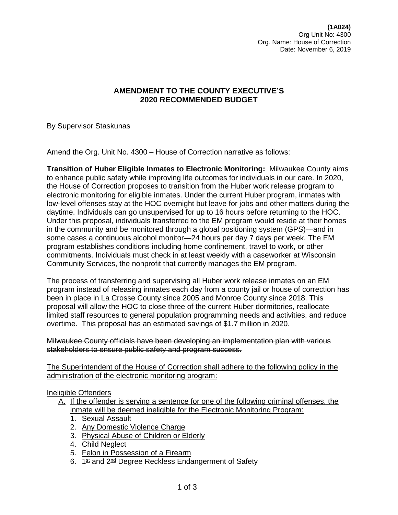By Supervisor Staskunas

Amend the Org. Unit No. 4300 – House of Correction narrative as follows:

**Transition of Huber Eligible Inmates to Electronic Monitoring:** Milwaukee County aims to enhance public safety while improving life outcomes for individuals in our care. In 2020, the House of Correction proposes to transition from the Huber work release program to electronic monitoring for eligible inmates. Under the current Huber program, inmates with low-level offenses stay at the HOC overnight but leave for jobs and other matters during the daytime. Individuals can go unsupervised for up to 16 hours before returning to the HOC. Under this proposal, individuals transferred to the EM program would reside at their homes in the community and be monitored through a global positioning system (GPS)—and in some cases a continuous alcohol monitor—24 hours per day 7 days per week. The EM program establishes conditions including home confinement, travel to work, or other commitments. Individuals must check in at least weekly with a caseworker at Wisconsin Community Services, the nonprofit that currently manages the EM program.

The process of transferring and supervising all Huber work release inmates on an EM program instead of releasing inmates each day from a county jail or house of correction has been in place in La Crosse County since 2005 and Monroe County since 2018. This proposal will allow the HOC to close three of the current Huber dormitories, reallocate limited staff resources to general population programming needs and activities, and reduce overtime. This proposal has an estimated savings of \$1.7 million in 2020.

Milwaukee County officials have been developing an implementation plan with various stakeholders to ensure public safety and program success.

The Superintendent of the House of Correction shall adhere to the following policy in the administration of the electronic monitoring program:

### Ineligible Offenders

- A. If the offender is serving a sentence for one of the following criminal offenses, the inmate will be deemed ineligible for the Electronic Monitoring Program:
	- 1. Sexual Assault
	- 2. Any Domestic Violence Charge
	- 3. Physical Abuse of Children or Elderly
	- 4. Child Neglect
	- 5. Felon in Possession of a Firearm
	- 6. 1st and 2<sup>nd</sup> Degree Reckless Endangerment of Safety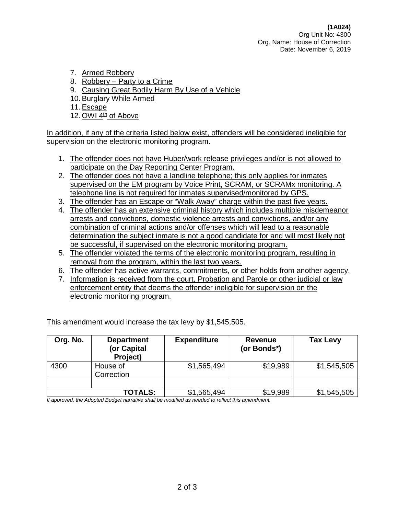- 7. Armed Robbery
- 8. Robbery Party to a Crime
- 9. Causing Great Bodily Harm By Use of a Vehicle
- 10. Burglary While Armed
- 11. Escape
- 12. OWI 4<sup>th</sup> of Above

In addition, if any of the criteria listed below exist, offenders will be considered ineligible for supervision on the electronic monitoring program.

- 1. The offender does not have Huber/work release privileges and/or is not allowed to participate on the Day Reporting Center Program.
- 2. The offender does not have a landline telephone; this only applies for inmates supervised on the EM program by Voice Print, SCRAM, or SCRAMx monitoring. A telephone line is not required for inmates supervised/monitored by GPS.
- 3. The offender has an Escape or "Walk Away" charge within the past five years.
- 4. The offender has an extensive criminal history which includes multiple misdemeanor arrests and convictions, domestic violence arrests and convictions, and/or any combination of criminal actions and/or offenses which will lead to a reasonable determination the subject inmate is not a good candidate for and will most likely not be successful, if supervised on the electronic monitoring program.
- 5. The offender violated the terms of the electronic monitoring program, resulting in removal from the program, within the last two years.
- 6. The offender has active warrants, commitments, or other holds from another agency.
- 7. Information is received from the court, Probation and Parole or other judicial or law enforcement entity that deems the offender ineligible for supervision on the electronic monitoring program.

This amendment would increase the tax levy by \$1,545,505.

| Org. No. | <b>Department</b><br>(or Capital<br>Project) | <b>Expenditure</b> | <b>Revenue</b><br>(or Bonds*) | <b>Tax Levy</b> |
|----------|----------------------------------------------|--------------------|-------------------------------|-----------------|
| 4300     | House of<br>Correction                       | \$1,565,494        | \$19,989                      | \$1,545,505     |
|          |                                              |                    |                               |                 |
|          | <b>TOTALS:</b>                               | \$1,565,494        | \$19,989                      | \$1,545,505     |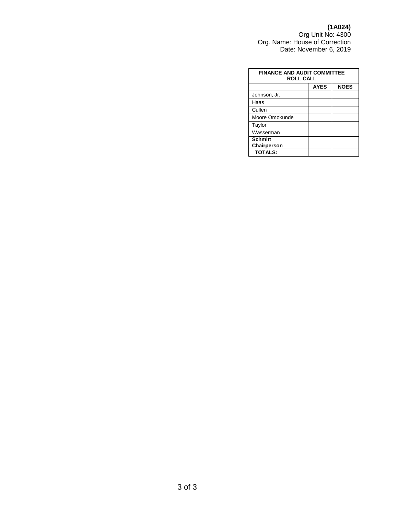#### **(1A024)**

Org Unit No: 4300 Org. Name: House of Correction Date: November 6, 2019

| <b>FINANCE AND AUDIT COMMITTEE</b><br><b>ROLL CALL</b> |             |             |  |  |
|--------------------------------------------------------|-------------|-------------|--|--|
|                                                        | <b>AYES</b> | <b>NOES</b> |  |  |
| Johnson, Jr.                                           |             |             |  |  |
| Haas                                                   |             |             |  |  |
| Cullen                                                 |             |             |  |  |
| Moore Omokunde                                         |             |             |  |  |
| Taylor                                                 |             |             |  |  |
| Wasserman                                              |             |             |  |  |
| <b>Schmitt</b><br>Chairperson                          |             |             |  |  |
| <b>TOTALS:</b>                                         |             |             |  |  |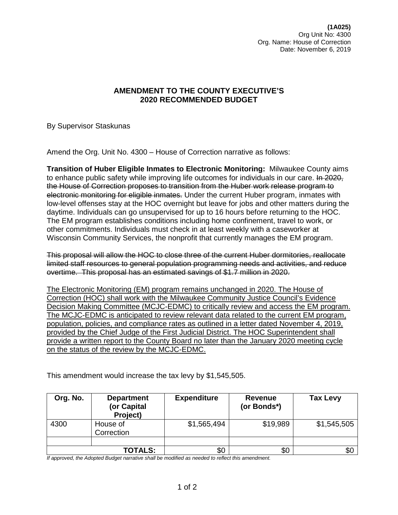**(1A025)** Org Unit No: 4300 Org. Name: House of Correction Date: November 6, 2019

# **AMENDMENT TO THE COUNTY EXECUTIVE'S 2020 RECOMMENDED BUDGET**

By Supervisor Staskunas

Amend the Org. Unit No. 4300 – House of Correction narrative as follows:

**Transition of Huber Eligible Inmates to Electronic Monitoring:** Milwaukee County aims to enhance public safety while improving life outcomes for individuals in our care. In 2020, the House of Correction proposes to transition from the Huber work release program to electronic monitoring for eligible inmates. Under the current Huber program, inmates with low-level offenses stay at the HOC overnight but leave for jobs and other matters during the daytime. Individuals can go unsupervised for up to 16 hours before returning to the HOC. The EM program establishes conditions including home confinement, travel to work, or other commitments. Individuals must check in at least weekly with a caseworker at Wisconsin Community Services, the nonprofit that currently manages the EM program.

This proposal will allow the HOC to close three of the current Huber dormitories, reallocate limited staff resources to general population programming needs and activities, and reduce overtime. This proposal has an estimated savings of \$1.7 million in 2020.

The Electronic Monitoring (EM) program remains unchanged in 2020. The House of Correction (HOC) shall work with the Milwaukee Community Justice Council's Evidence Decision Making Committee (MCJC-EDMC) to critically review and access the EM program. The MCJC-EDMC is anticipated to review relevant data related to the current EM program, population, policies, and compliance rates as outlined in a letter dated November 4, 2019, provided by the Chief Judge of the First Judicial District. The HOC Superintendent shall provide a written report to the County Board no later than the January 2020 meeting cycle on the status of the review by the MCJC-EDMC.

This amendment would increase the tax levy by \$1,545,505.

| Org. No. | <b>Department</b><br>(or Capital<br>Project) | <b>Expenditure</b> | <b>Revenue</b><br>(or Bonds*) | <b>Tax Levy</b> |
|----------|----------------------------------------------|--------------------|-------------------------------|-----------------|
| 4300     | House of<br>Correction                       | \$1,565,494        | \$19,989                      | \$1,545,505     |
|          |                                              |                    |                               |                 |
|          | <b>TOTALS:</b>                               | \$0                | \$С                           | \$0             |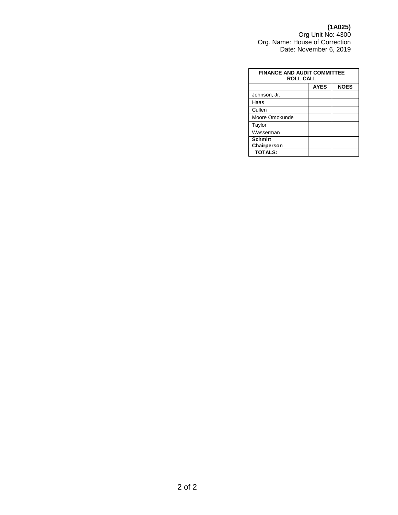#### **(1A025)**

Org Unit No: 4300 Org. Name: House of Correction Date: November 6, 2019

| <b>FINANCE AND AUDIT COMMITTEE</b><br><b>ROLL CALL</b> |             |             |  |  |
|--------------------------------------------------------|-------------|-------------|--|--|
|                                                        | <b>AYES</b> | <b>NOES</b> |  |  |
| Johnson, Jr.                                           |             |             |  |  |
| Haas                                                   |             |             |  |  |
| Cullen                                                 |             |             |  |  |
| Moore Omokunde                                         |             |             |  |  |
| Taylor                                                 |             |             |  |  |
| Wasserman                                              |             |             |  |  |
| <b>Schmitt</b><br>Chairperson                          |             |             |  |  |
| <b>TOTALS:</b>                                         |             |             |  |  |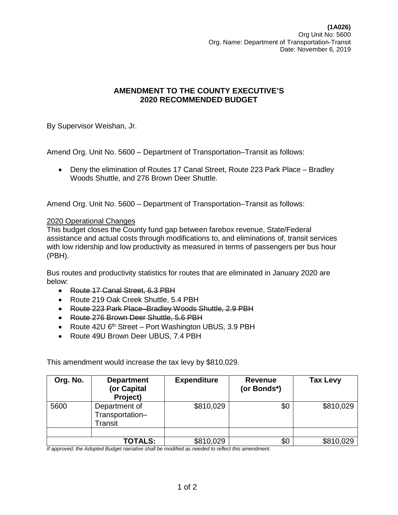By Supervisor Weishan, Jr.

Amend Org. Unit No. 5600 – Department of Transportation–Transit as follows:

• Deny the elimination of Routes 17 Canal Street, Route 223 Park Place – Bradley Woods Shuttle, and 276 Brown Deer Shuttle.

Amend Org. Unit No. 5600 – Department of Transportation–Transit as follows:

### 2020 Operational Changes

This budget closes the County fund gap between farebox revenue, State/Federal assistance and actual costs through modifications to, and eliminations of, transit services with low ridership and low productivity as measured in terms of passengers per bus hour (PBH).

Bus routes and productivity statistics for routes that are eliminated in January 2020 are below:

- Route 17 Canal Street, 6.3 PBH
- Route 219 Oak Creek Shuttle, 5.4 PBH
- Route 223 Park Place–Bradley Woods Shuttle, 2.9 PBH
- Route 276 Brown Deer Shuttle, 5.6 PBH
- Route 42U 6<sup>th</sup> Street Port Washington UBUS, 3.9 PBH
- Route 49U Brown Deer UBUS, 7.4 PBH

This amendment would increase the tax levy by \$810,029.

| Org. No. | <b>Department</b><br>(or Capital<br>Project) | <b>Expenditure</b> | <b>Revenue</b><br>(or Bonds*) | <b>Tax Levy</b> |
|----------|----------------------------------------------|--------------------|-------------------------------|-----------------|
| 5600     | Department of<br>Transportation-<br>Transit  | \$810,029          | \$0                           | \$810,029       |
|          |                                              |                    |                               |                 |
|          | <b>TOTALS:</b>                               | \$810,029          | \$0                           | \$810,029       |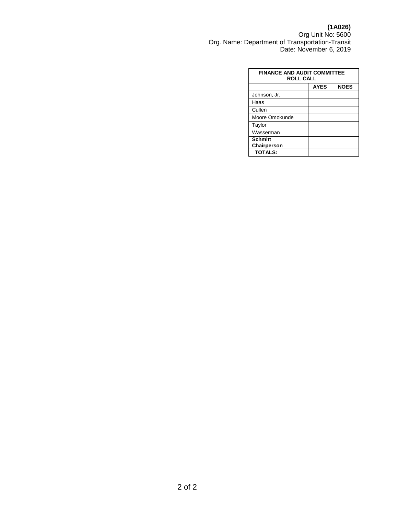**(1A026)** Org Unit No: 5600 Org. Name: Department of Transportation-Transit Date: November 6, 2019

| <b>FINANCE AND AUDIT COMMITTEE</b><br><b>ROLL CALL</b> |             |             |  |
|--------------------------------------------------------|-------------|-------------|--|
|                                                        | <b>AYES</b> | <b>NOES</b> |  |
| Johnson, Jr.                                           |             |             |  |
| Haas                                                   |             |             |  |
| Cullen                                                 |             |             |  |
| Moore Omokunde                                         |             |             |  |
| Taylor                                                 |             |             |  |
| Wasserman                                              |             |             |  |
| <b>Schmitt</b><br>Chairperson                          |             |             |  |
| <b>TOTALS:</b>                                         |             |             |  |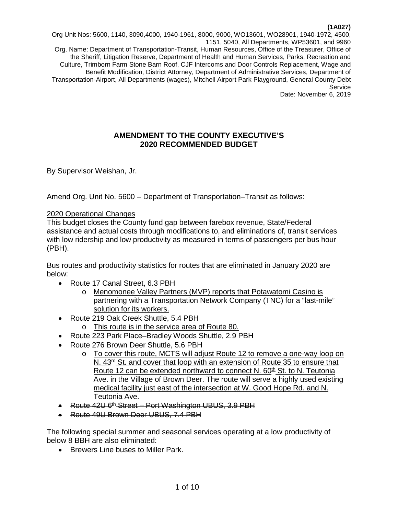Org Unit Nos: 5600, 1140, 3090,4000, 1940-1961, 8000, 9000, WO13601, WO28901, 1940-1972, 4500, 1151, 5040, All Departments, WP53601, and 9960 Org. Name: Department of Transportation-Transit, Human Resources, Office of the Treasurer, Office of the Sheriff, Litigation Reserve, Department of Health and Human Services, Parks, Recreation and Culture, Trimborn Farm Stone Barn Roof, CJF Intercoms and Door Controls Replacement, Wage and Benefit Modification, District Attorney, Department of Administrative Services, Department of Transportation-Airport, All Departments (wages), Mitchell Airport Park Playground, General County Debt **Service** Date: November 6, 2019

### **AMENDMENT TO THE COUNTY EXECUTIVE'S 2020 RECOMMENDED BUDGET**

By Supervisor Weishan, Jr.

Amend Org. Unit No. 5600 – Department of Transportation–Transit as follows:

### 2020 Operational Changes

This budget closes the County fund gap between farebox revenue, State/Federal assistance and actual costs through modifications to, and eliminations of, transit services with low ridership and low productivity as measured in terms of passengers per bus hour (PBH).

Bus routes and productivity statistics for routes that are eliminated in January 2020 are below:

- Route 17 Canal Street, 6.3 PBH
	- o Menomonee Valley Partners (MVP) reports that Potawatomi Casino is partnering with a Transportation Network Company (TNC) for a "last-mile" solution for its workers.
- Route 219 Oak Creek Shuttle, 5.4 PBH
	- o This route is in the service area of Route 80.
- Route 223 Park Place–Bradley Woods Shuttle, 2.9 PBH
- Route 276 Brown Deer Shuttle, 5.6 PBH
	- o To cover this route, MCTS will adjust Route 12 to remove a one-way loop on N. 43<sup>rd</sup> St. and cover that loop with an extension of Route 35 to ensure that Route 12 can be extended northward to connect N. 60<sup>th</sup> St. to N. Teutonia Ave. in the Village of Brown Deer. The route will serve a highly used existing medical facility just east of the intersection at W. Good Hope Rd. and N. Teutonia Ave.
- Route 42U 6<sup>th</sup> Street Port Washington UBUS, 3.9 PBH
- Route 49U Brown Deer UBUS, 7.4 PBH

The following special summer and seasonal services operating at a low productivity of below 8 BBH are also eliminated:

• Brewers Line buses to Miller Park.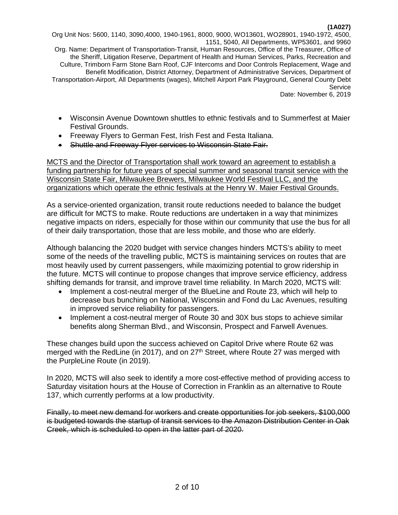Org Unit Nos: 5600, 1140, 3090,4000, 1940-1961, 8000, 9000, WO13601, WO28901, 1940-1972, 4500, 1151, 5040, All Departments, WP53601, and 9960 Org. Name: Department of Transportation-Transit, Human Resources, Office of the Treasurer, Office of the Sheriff, Litigation Reserve, Department of Health and Human Services, Parks, Recreation and Culture, Trimborn Farm Stone Barn Roof, CJF Intercoms and Door Controls Replacement, Wage and Benefit Modification, District Attorney, Department of Administrative Services, Department of Transportation-Airport, All Departments (wages), Mitchell Airport Park Playground, General County Debt Service Date: November 6, 2019

- Wisconsin Avenue Downtown shuttles to ethnic festivals and to Summerfest at Maier Festival Grounds.
- Freeway Flyers to German Fest, Irish Fest and Festa Italiana.
- Shuttle and Freeway Flyer services to Wisconsin State Fair.

MCTS and the Director of Transportation shall work toward an agreement to establish a funding partnership for future years of special summer and seasonal transit service with the Wisconsin State Fair, Milwaukee Brewers, Milwaukee World Festival LLC, and the organizations which operate the ethnic festivals at the Henry W. Maier Festival Grounds.

As a service-oriented organization, transit route reductions needed to balance the budget are difficult for MCTS to make. Route reductions are undertaken in a way that minimizes negative impacts on riders, especially for those within our community that use the bus for all of their daily transportation, those that are less mobile, and those who are elderly.

Although balancing the 2020 budget with service changes hinders MCTS's ability to meet some of the needs of the travelling public, MCTS is maintaining services on routes that are most heavily used by current passengers, while maximizing potential to grow ridership in the future. MCTS will continue to propose changes that improve service efficiency, address shifting demands for transit, and improve travel time reliability. In March 2020, MCTS will:

- Implement a cost-neutral merger of the BlueLine and Route 23, which will help to decrease bus bunching on National, Wisconsin and Fond du Lac Avenues, resulting in improved service reliability for passengers.
- Implement a cost-neutral merger of Route 30 and 30X bus stops to achieve similar benefits along Sherman Blvd., and Wisconsin, Prospect and Farwell Avenues.

These changes build upon the success achieved on Capitol Drive where Route 62 was merged with the RedLine (in 2017), and on 27<sup>th</sup> Street, where Route 27 was merged with the PurpleLine Route (in 2019).

In 2020, MCTS will also seek to identify a more cost-effective method of providing access to Saturday visitation hours at the House of Correction in Franklin as an alternative to Route 137, which currently performs at a low productivity.

Finally, to meet new demand for workers and create opportunities for job seekers, \$100,000 is budgeted towards the startup of transit services to the Amazon Distribution Center in Oak Creek, which is scheduled to open in the latter part of 2020.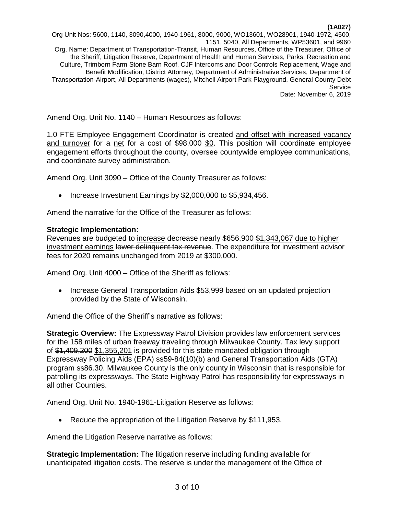Org Unit Nos: 5600, 1140, 3090,4000, 1940-1961, 8000, 9000, WO13601, WO28901, 1940-1972, 4500, 1151, 5040, All Departments, WP53601, and 9960 Org. Name: Department of Transportation-Transit, Human Resources, Office of the Treasurer, Office of the Sheriff, Litigation Reserve, Department of Health and Human Services, Parks, Recreation and Culture, Trimborn Farm Stone Barn Roof, CJF Intercoms and Door Controls Replacement, Wage and Benefit Modification, District Attorney, Department of Administrative Services, Department of Transportation-Airport, All Departments (wages), Mitchell Airport Park Playground, General County Debt Service Date: November 6, 2019

Amend Org. Unit No. 1140 – Human Resources as follows:

1.0 FTE Employee Engagement Coordinator is created and offset with increased vacancy and turnover for a net for a cost of \$98,000 \$0. This position will coordinate employee engagement efforts throughout the county, oversee countywide employee communications, and coordinate survey administration.

Amend Org. Unit 3090 – Office of the County Treasurer as follows:

• Increase Investment Earnings by \$2,000,000 to \$5,934,456.

Amend the narrative for the Office of the Treasurer as follows:

### **Strategic Implementation:**

Revenues are budgeted to increase decrease nearly \$656,900 \$1,343,067 due to higher investment earnings lower delinquent tax revenue. The expenditure for investment advisor fees for 2020 remains unchanged from 2019 at \$300,000.

Amend Org. Unit 4000 – Office of the Sheriff as follows:

• Increase General Transportation Aids \$53,999 based on an updated projection provided by the State of Wisconsin.

Amend the Office of the Sheriff's narrative as follows:

**Strategic Overview:** The Expressway Patrol Division provides law enforcement services for the 158 miles of urban freeway traveling through Milwaukee County. Tax levy support of \$1,409,200 \$1,355,201 is provided for this state mandated obligation through Expressway Policing Aids (EPA) ss59-84(10)(b) and General Transportation Aids (GTA) program ss86.30. Milwaukee County is the only county in Wisconsin that is responsible for patrolling its expressways. The State Highway Patrol has responsibility for expressways in all other Counties.

Amend Org. Unit No. 1940-1961-Litigation Reserve as follows:

• Reduce the appropriation of the Litigation Reserve by \$111,953.

Amend the Litigation Reserve narrative as follows:

**Strategic Implementation:** The litigation reserve including funding available for unanticipated litigation costs. The reserve is under the management of the Office of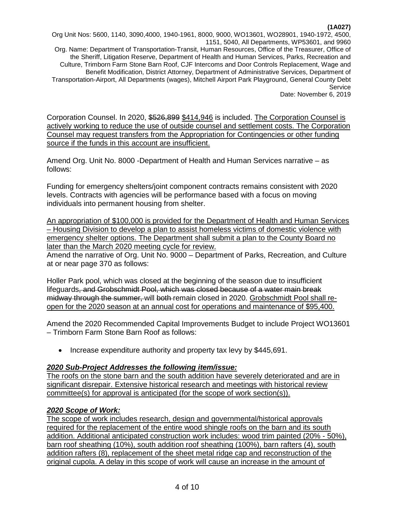Org Unit Nos: 5600, 1140, 3090,4000, 1940-1961, 8000, 9000, WO13601, WO28901, 1940-1972, 4500, 1151, 5040, All Departments, WP53601, and 9960 Org. Name: Department of Transportation-Transit, Human Resources, Office of the Treasurer, Office of the Sheriff, Litigation Reserve, Department of Health and Human Services, Parks, Recreation and Culture, Trimborn Farm Stone Barn Roof, CJF Intercoms and Door Controls Replacement, Wage and Benefit Modification, District Attorney, Department of Administrative Services, Department of Transportation-Airport, All Departments (wages), Mitchell Airport Park Playground, General County Debt Service Date: November 6, 2019

Corporation Counsel. In 2020, \$526,899 \$414,946 is included. The Corporation Counsel is actively working to reduce the use of outside counsel and settlement costs. The Corporation Counsel may request transfers from the Appropriation for Contingencies or other funding source if the funds in this account are insufficient.

Amend Org. Unit No. 8000 -Department of Health and Human Services narrative – as follows:

Funding for emergency shelters/joint component contracts remains consistent with 2020 levels. Contracts with agencies will be performance based with a focus on moving individuals into permanent housing from shelter.

An appropriation of \$100,000 is provided for the Department of Health and Human Services – Housing Division to develop a plan to assist homeless victims of domestic violence with emergency shelter options. The Department shall submit a plan to the County Board no later than the March 2020 meeting cycle for review.

Amend the narrative of Org. Unit No. 9000 – Department of Parks, Recreation, and Culture at or near page 370 as follows:

Holler Park pool, which was closed at the beginning of the season due to insufficient lifeguards, and Grobschmidt Pool, which was closed because of a water main break midway through the summer, will both remain closed in 2020. Grobschmidt Pool shall reopen for the 2020 season at an annual cost for operations and maintenance of \$95,400.

Amend the 2020 Recommended Capital Improvements Budget to include Project WO13601 – Trimborn Farm Stone Barn Roof as follows:

• Increase expenditure authority and property tax levy by \$445,691.

# *2020 Sub-Project Addresses the following item/issue:*

The roofs on the stone barn and the south addition have severely deteriorated and are in significant disrepair. Extensive historical research and meetings with historical review committee(s) for approval is anticipated (for the scope of work section(s)).

# *2020 Scope of Work:*

The scope of work includes research, design and governmental/historical approvals required for the replacement of the entire wood shingle roofs on the barn and its south addition. Additional anticipated construction work includes: wood trim painted (20% - 50%), barn roof sheathing (10%), south addition roof sheathing (100%), barn rafters (4), south addition rafters (8), replacement of the sheet metal ridge cap and reconstruction of the original cupola. A delay in this scope of work will cause an increase in the amount of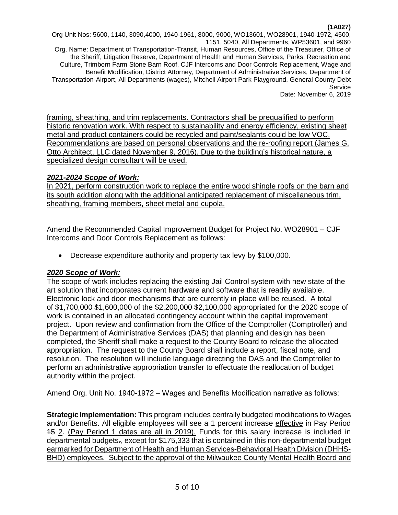Org Unit Nos: 5600, 1140, 3090,4000, 1940-1961, 8000, 9000, WO13601, WO28901, 1940-1972, 4500, 1151, 5040, All Departments, WP53601, and 9960 Org. Name: Department of Transportation-Transit, Human Resources, Office of the Treasurer, Office of the Sheriff, Litigation Reserve, Department of Health and Human Services, Parks, Recreation and Culture, Trimborn Farm Stone Barn Roof, CJF Intercoms and Door Controls Replacement, Wage and Benefit Modification, District Attorney, Department of Administrative Services, Department of Transportation-Airport, All Departments (wages), Mitchell Airport Park Playground, General County Debt Service Date: November 6, 2019

framing, sheathing, and trim replacements. Contractors shall be prequalified to perform historic renovation work. With respect to sustainability and energy efficiency, existing sheet metal and product containers could be recycled and paint/sealants could be low VOC. Recommendations are based on personal observations and the re-roofing report (James G. Otto Architect, LLC dated November 9, 2016). Due to the building's historical nature, a specialized design consultant will be used.

# *2021-2024 Scope of Work:*

In 2021, perform construction work to replace the entire wood shingle roofs on the barn and its south addition along with the additional anticipated replacement of miscellaneous trim, sheathing, framing members, sheet metal and cupola.

Amend the Recommended Capital Improvement Budget for Project No. WO28901 – CJF Intercoms and Door Controls Replacement as follows:

• Decrease expenditure authority and property tax levy by \$100,000.

# *2020 Scope of Work:*

The scope of work includes replacing the existing Jail Control system with new state of the art solution that incorporates current hardware and software that is readily available. Electronic lock and door mechanisms that are currently in place will be reused. A total of \$1,700,000 \$1,600,000 of the \$2,200,000 \$2,100,000 appropriated for the 2020 scope of work is contained in an allocated contingency account within the capital improvement project. Upon review and confirmation from the Office of the Comptroller (Comptroller) and the Department of Administrative Services (DAS) that planning and design has been completed, the Sheriff shall make a request to the County Board to release the allocated appropriation. The request to the County Board shall include a report, fiscal note, and resolution. The resolution will include language directing the DAS and the Comptroller to perform an administrative appropriation transfer to effectuate the reallocation of budget authority within the project.

Amend Org. Unit No. 1940-1972 – Wages and Benefits Modification narrative as follows:

**Strategic Implementation:** This program includes centrally budgeted modifications to Wages and/or Benefits. All eligible employees will see a 1 percent increase effective in Pay Period 15 2. (Pay Period 1 dates are all in 2019). Funds for this salary increase is included in departmental budgets-, except for \$175,333 that is contained in this non-departmental budget earmarked for Department of Health and Human Services-Behavioral Health Division (DHHS-BHD) employees. Subject to the approval of the Milwaukee County Mental Health Board and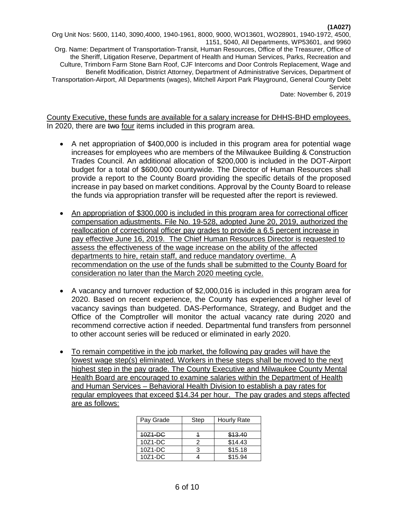Org Unit Nos: 5600, 1140, 3090,4000, 1940-1961, 8000, 9000, WO13601, WO28901, 1940-1972, 4500, 1151, 5040, All Departments, WP53601, and 9960 Org. Name: Department of Transportation-Transit, Human Resources, Office of the Treasurer, Office of the Sheriff, Litigation Reserve, Department of Health and Human Services, Parks, Recreation and Culture, Trimborn Farm Stone Barn Roof, CJF Intercoms and Door Controls Replacement, Wage and Benefit Modification, District Attorney, Department of Administrative Services, Department of Transportation-Airport, All Departments (wages), Mitchell Airport Park Playground, General County Debt Service Date: November 6, 2019

County Executive, these funds are available for a salary increase for DHHS-BHD employees. In 2020, there are two four items included in this program area.

- A net appropriation of \$400,000 is included in this program area for potential wage increases for employees who are members of the Milwaukee Building & Construction Trades Council. An additional allocation of \$200,000 is included in the DOT-Airport budget for a total of \$600,000 countywide. The Director of Human Resources shall provide a report to the County Board providing the specific details of the proposed increase in pay based on market conditions. Approval by the County Board to release the funds via appropriation transfer will be requested after the report is reviewed.
- An appropriation of \$300,000 is included in this program area for correctional officer compensation adjustments. File No. 19-528, adopted June 20, 2019, authorized the reallocation of correctional officer pay grades to provide a 6.5 percent increase in pay effective June 16, 2019. The Chief Human Resources Director is requested to assess the effectiveness of the wage increase on the ability of the affected departments to hire, retain staff, and reduce mandatory overtime. A recommendation on the use of the funds shall be submitted to the County Board for consideration no later than the March 2020 meeting cycle.
- A vacancy and turnover reduction of \$2,000,016 is included in this program area for 2020. Based on recent experience, the County has experienced a higher level of vacancy savings than budgeted. DAS-Performance, Strategy, and Budget and the Office of the Comptroller will monitor the actual vacancy rate during 2020 and recommend corrective action if needed. Departmental fund transfers from personnel to other account series will be reduced or eliminated in early 2020.
- To remain competitive in the job market, the following pay grades will have the lowest wage step(s) eliminated. Workers in these steps shall be moved to the next highest step in the pay grade. The County Executive and Milwaukee County Mental Health Board are encouraged to examine salaries within the Department of Health and Human Services – Behavioral Health Division to establish a pay rates for regular employees that exceed \$14.34 per hour. The pay grades and steps affected are as follows:

| Pay Grade | Step | Hourly Rate |
|-----------|------|-------------|
|           |      |             |
| 10Z1-DC   |      | \$13.40     |
| 10Z1-DC   |      | \$14.43     |
| $10Z1-DC$ |      | \$15.18     |
| $10Z1-DC$ |      | \$15.94     |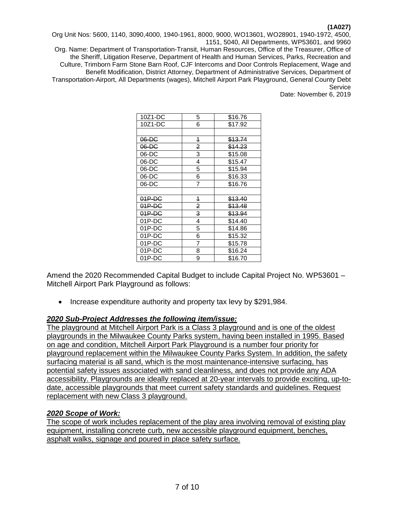Org Unit Nos: 5600, 1140, 3090,4000, 1940-1961, 8000, 9000, WO13601, WO28901, 1940-1972, 4500, 1151, 5040, All Departments, WP53601, and 9960

Org. Name: Department of Transportation-Transit, Human Resources, Office of the Treasurer, Office of the Sheriff, Litigation Reserve, Department of Health and Human Services, Parks, Recreation and Culture, Trimborn Farm Stone Barn Roof, CJF Intercoms and Door Controls Replacement, Wage and Benefit Modification, District Attorney, Department of Administrative Services, Department of Transportation-Airport, All Departments (wages), Mitchell Airport Park Playground, General County Debt Service

Date: November 6, 2019

| 10Z1-DC  | 5 | \$16.76            |
|----------|---|--------------------|
| 10Z1-DC  | 6 | \$17.92            |
|          |   |                    |
| $06-DC$  | 4 | \$13.74            |
| $06-DC$  | 2 | \$14.23            |
| 06-DC    | 3 | \$15.08            |
| 06-DC    | 4 | \$15.47            |
| 06-DC    | 5 | \$15.94            |
| 06-DC    | 6 | \$16.33            |
| 06-DC    | 7 | \$16.76            |
|          |   |                    |
| 01P-DC   | 4 | <del>\$13.40</del> |
| $01P-DC$ | 2 | \$13.48            |
| $01P-DC$ | 3 | \$13.94            |
| 01P-DC   | 4 | \$14.40            |
| 01P-DC   | 5 | \$14.86            |
| 01P-DC   | 6 | \$15.32            |
| 01P-DC   | 7 | \$15.78            |
| 01P-DC   | 8 | \$16.24            |
| 01P-DC   | 9 | \$16.70            |
|          |   |                    |

Amend the 2020 Recommended Capital Budget to include Capital Project No. WP53601 – Mitchell Airport Park Playground as follows:

• Increase expenditure authority and property tax levy by \$291,984.

### *2020 Sub-Project Addresses the following item/issue:*

The playground at Mitchell Airport Park is a Class 3 playground and is one of the oldest playgrounds in the Milwaukee County Parks system, having been installed in 1995. Based on age and condition, Mitchell Airport Park Playground is a number four priority for playground replacement within the Milwaukee County Parks System. In addition, the safety surfacing material is all sand, which is the most maintenance-intensive surfacing, has potential safety issues associated with sand cleanliness, and does not provide any ADA accessibility. Playgrounds are ideally replaced at 20-year intervals to provide exciting, up-todate, accessible playgrounds that meet current safety standards and guidelines. Request replacement with new Class 3 playground.

### *2020 Scope of Work:*

The scope of work includes replacement of the play area involving removal of existing play equipment, installing concrete curb, new accessible playground equipment, benches, asphalt walks, signage and poured in place safety surface.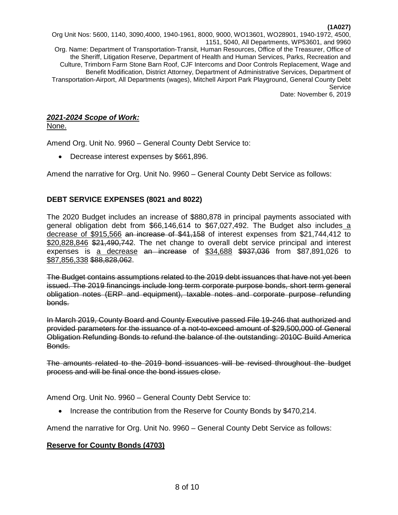Org Unit Nos: 5600, 1140, 3090,4000, 1940-1961, 8000, 9000, WO13601, WO28901, 1940-1972, 4500, 1151, 5040, All Departments, WP53601, and 9960 Org. Name: Department of Transportation-Transit, Human Resources, Office of the Treasurer, Office of the Sheriff, Litigation Reserve, Department of Health and Human Services, Parks, Recreation and Culture, Trimborn Farm Stone Barn Roof, CJF Intercoms and Door Controls Replacement, Wage and Benefit Modification, District Attorney, Department of Administrative Services, Department of Transportation-Airport, All Departments (wages), Mitchell Airport Park Playground, General County Debt **Service** Date: November 6, 2019

# *2021-2024 Scope of Work:*

None.

Amend Org. Unit No. 9960 – General County Debt Service to:

• Decrease interest expenses by \$661,896.

Amend the narrative for Org. Unit No. 9960 – General County Debt Service as follows:

# **DEBT SERVICE EXPENSES (8021 and 8022)**

The 2020 Budget includes an increase of \$880,878 in principal payments associated with general obligation debt from \$66,146,614 to \$67,027,492. The Budget also includes a decrease of \$915,566 an increase of \$41,158 of interest expenses from \$21,744,412 to \$20,828,846 \$21,490,742. The net change to overall debt service principal and interest expenses is a decrease an increase of \$34,688 \$937,036 from \$87,891,026 to \$87,856,338 \$88,828,062.

The Budget contains assumptions related to the 2019 debt issuances that have not yet been issued. The 2019 financings include long term corporate purpose bonds, short term general obligation notes (ERP and equipment), taxable notes and corporate purpose refunding bonds.

In March 2019, County Board and County Executive passed File 19-246 that authorized and provided parameters for the issuance of a not-to-exceed amount of \$29,500,000 of General Obligation Refunding Bonds to refund the balance of the outstanding: 2010C Build America Bonds.

The amounts related to the 2019 bond issuances will be revised throughout the budget process and will be final once the bond issues close.

Amend Org. Unit No. 9960 – General County Debt Service to:

• Increase the contribution from the Reserve for County Bonds by \$470,214.

Amend the narrative for Org. Unit No. 9960 – General County Debt Service as follows:

# **Reserve for County Bonds (4703)**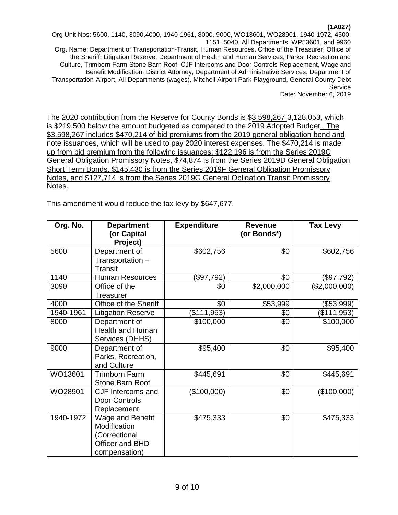Org Unit Nos: 5600, 1140, 3090,4000, 1940-1961, 8000, 9000, WO13601, WO28901, 1940-1972, 4500, 1151, 5040, All Departments, WP53601, and 9960 Org. Name: Department of Transportation-Transit, Human Resources, Office of the Treasurer, Office of the Sheriff, Litigation Reserve, Department of Health and Human Services, Parks, Recreation and Culture, Trimborn Farm Stone Barn Roof, CJF Intercoms and Door Controls Replacement, Wage and Benefit Modification, District Attorney, Department of Administrative Services, Department of Transportation-Airport, All Departments (wages), Mitchell Airport Park Playground, General County Debt Service Date: November 6, 2019

The 2020 contribution from the Reserve for County Bonds is \$3,598,267.3,128,053, which is \$219,500 below the amount budgeted as compared to the 2019 Adopted Budget. The \$3,598,267 includes \$470,214 of bid premiums from the 2019 general obligation bond and note issuances, which will be used to pay 2020 interest expenses. The \$470,214 is made up from bid premium from the following issuances: \$122,196 is from the Series 2019C General Obligation Promissory Notes, \$74,874 is from the Series 2019D General Obligation Short Term Bonds, \$145,430 is from the Series 2019F General Obligation Promissory Notes, and \$127,714 is from the Series 2019G General Obligation Transit Promissory Notes.

This amendment would reduce the tax levy by \$647,677.

| Org. No.  | <b>Department</b><br>(or Capital<br>Project)                                          | <b>Expenditure</b> | <b>Revenue</b><br>(or Bonds*) | <b>Tax Levy</b> |
|-----------|---------------------------------------------------------------------------------------|--------------------|-------------------------------|-----------------|
| 5600      | Department of<br>Transportation -<br><b>Transit</b>                                   | \$602,756          | \$0                           | \$602,756       |
| 1140      | <b>Human Resources</b>                                                                | (\$97,792)         | \$0                           | (\$97,792)      |
| 3090      | Office of the<br><b>Treasurer</b>                                                     | \$0                | \$2,000,000                   | (\$2,000,000)   |
| 4000      | Office of the Sheriff                                                                 | \$0                | \$53,999                      | (\$53,999)      |
| 1940-1961 | <b>Litigation Reserve</b>                                                             | \$111,953          | \$0                           | (\$111,953)     |
| 8000      | Department of<br><b>Health and Human</b><br>Services (DHHS)                           | \$100,000          | \$0                           | \$100,000       |
| 9000      | Department of<br>Parks, Recreation,<br>and Culture                                    | \$95,400           | \$0                           | \$95,400        |
| WO13601   | <b>Trimborn Farm</b><br>Stone Barn Roof                                               | \$445,691          | \$0                           | \$445,691       |
| WO28901   | CJF Intercoms and<br>Door Controls<br>Replacement                                     | (\$100,000)        | \$0                           | (\$100,000)     |
| 1940-1972 | Wage and Benefit<br>Modification<br>(Correctional<br>Officer and BHD<br>compensation) | \$475,333          | \$0                           | \$475,333       |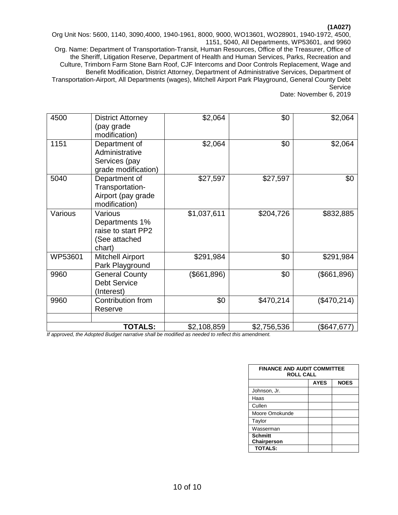Org Unit Nos: 5600, 1140, 3090,4000, 1940-1961, 8000, 9000, WO13601, WO28901, 1940-1972, 4500, 1151, 5040, All Departments, WP53601, and 9960

Org. Name: Department of Transportation-Transit, Human Resources, Office of the Treasurer, Office of the Sheriff, Litigation Reserve, Department of Health and Human Services, Parks, Recreation and Culture, Trimborn Farm Stone Barn Roof, CJF Intercoms and Door Controls Replacement, Wage and Benefit Modification, District Attorney, Department of Administrative Services, Department of Transportation-Airport, All Departments (wages), Mitchell Airport Park Playground, General County Debt Service

Date: November 6, 2019

| 4500    | <b>District Attorney</b><br>(pay grade<br>modification)                    | \$2,064     | \$0         | \$2,064     |
|---------|----------------------------------------------------------------------------|-------------|-------------|-------------|
| 1151    | Department of<br>Administrative<br>Services (pay<br>grade modification)    | \$2,064     | \$0         | \$2,064     |
| 5040    | Department of<br>Transportation-<br>Airport (pay grade<br>modification)    | \$27,597    | \$27,597    | \$0         |
| Various | Various<br>Departments 1%<br>raise to start PP2<br>(See attached<br>chart) | \$1,037,611 | \$204,726   | \$832,885   |
| WP53601 | <b>Mitchell Airport</b><br>Park Playground                                 | \$291,984   | \$0         | \$291,984   |
| 9960    | <b>General County</b><br><b>Debt Service</b><br>(Interest)                 | (\$661,896) | \$0         | (\$661,896) |
| 9960    | Contribution from<br>Reserve                                               | \$0         | \$470,214   | (\$470,214) |
|         | <b>TOTALS:</b>                                                             | \$2,108,859 | \$2,756,536 | (\$647,677) |

| <b>FINANCE AND AUDIT COMMITTEE</b><br><b>ROLL CALL</b> |             |             |  |
|--------------------------------------------------------|-------------|-------------|--|
|                                                        | <b>AYES</b> | <b>NOES</b> |  |
| Johnson, Jr.                                           |             |             |  |
| Haas                                                   |             |             |  |
| Cullen                                                 |             |             |  |
| Moore Omokunde                                         |             |             |  |
| Taylor                                                 |             |             |  |
| Wasserman                                              |             |             |  |
| <b>Schmitt</b><br>Chairperson                          |             |             |  |
| <b>TOTALS:</b>                                         |             |             |  |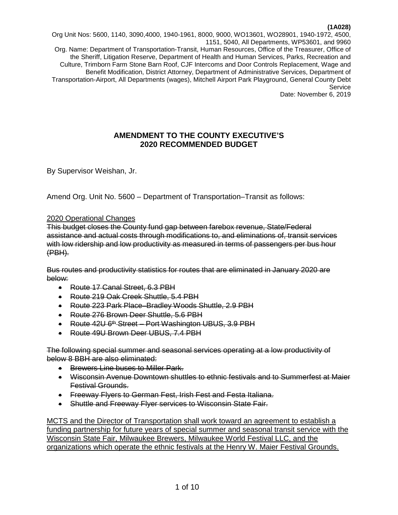Org Unit Nos: 5600, 1140, 3090,4000, 1940-1961, 8000, 9000, WO13601, WO28901, 1940-1972, 4500, 1151, 5040, All Departments, WP53601, and 9960 Org. Name: Department of Transportation-Transit, Human Resources, Office of the Treasurer, Office of the Sheriff, Litigation Reserve, Department of Health and Human Services, Parks, Recreation and Culture, Trimborn Farm Stone Barn Roof, CJF Intercoms and Door Controls Replacement, Wage and Benefit Modification, District Attorney, Department of Administrative Services, Department of Transportation-Airport, All Departments (wages), Mitchell Airport Park Playground, General County Debt **Service** Date: November 6, 2019

# **AMENDMENT TO THE COUNTY EXECUTIVE'S 2020 RECOMMENDED BUDGET**

By Supervisor Weishan, Jr.

Amend Org. Unit No. 5600 – Department of Transportation–Transit as follows:

### 2020 Operational Changes

This budget closes the County fund gap between farebox revenue, State/Federal assistance and actual costs through modifications to, and eliminations of, transit services with low ridership and low productivity as measured in terms of passengers per bus hour (PBH).

Bus routes and productivity statistics for routes that are eliminated in January 2020 are below:

- Route 17 Canal Street, 6.3 PBH
- Route 219 Oak Creek Shuttle, 5.4 PBH
- Route 223 Park Place–Bradley Woods Shuttle, 2.9 PBH
- Route 276 Brown Deer Shuttle, 5.6 PBH
- Route 42U 6<sup>th</sup> Street Port Washington UBUS, 3.9 PBH
- Route 49U Brown Deer UBUS, 7.4 PBH

The following special summer and seasonal services operating at a low productivity of below 8 BBH are also eliminated:

- Brewers Line buses to Miller Park.
- Wisconsin Avenue Downtown shuttles to ethnic festivals and to Summerfest at Maier Festival Grounds.
- Freeway Flyers to German Fest, Irish Fest and Festa Italiana.
- Shuttle and Freeway Flyer services to Wisconsin State Fair.

MCTS and the Director of Transportation shall work toward an agreement to establish a funding partnership for future years of special summer and seasonal transit service with the Wisconsin State Fair, Milwaukee Brewers, Milwaukee World Festival LLC, and the organizations which operate the ethnic festivals at the Henry W. Maier Festival Grounds.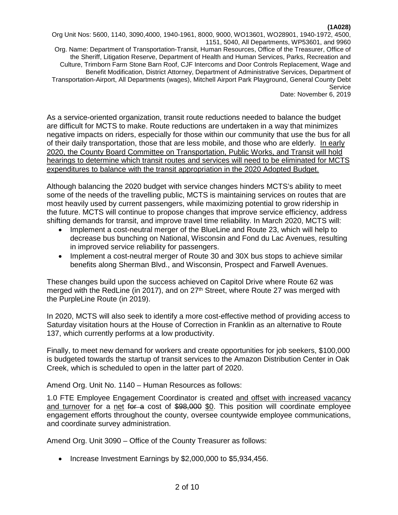Org Unit Nos: 5600, 1140, 3090,4000, 1940-1961, 8000, 9000, WO13601, WO28901, 1940-1972, 4500, 1151, 5040, All Departments, WP53601, and 9960 Org. Name: Department of Transportation-Transit, Human Resources, Office of the Treasurer, Office of the Sheriff, Litigation Reserve, Department of Health and Human Services, Parks, Recreation and Culture, Trimborn Farm Stone Barn Roof, CJF Intercoms and Door Controls Replacement, Wage and Benefit Modification, District Attorney, Department of Administrative Services, Department of Transportation-Airport, All Departments (wages), Mitchell Airport Park Playground, General County Debt Service Date: November 6, 2019

As a service-oriented organization, transit route reductions needed to balance the budget are difficult for MCTS to make. Route reductions are undertaken in a way that minimizes negative impacts on riders, especially for those within our community that use the bus for all of their daily transportation, those that are less mobile, and those who are elderly. In early 2020, the County Board Committee on Transportation, Public Works, and Transit will hold hearings to determine which transit routes and services will need to be eliminated for MCTS expenditures to balance with the transit appropriation in the 2020 Adopted Budget.

Although balancing the 2020 budget with service changes hinders MCTS's ability to meet some of the needs of the travelling public, MCTS is maintaining services on routes that are most heavily used by current passengers, while maximizing potential to grow ridership in the future. MCTS will continue to propose changes that improve service efficiency, address shifting demands for transit, and improve travel time reliability. In March 2020, MCTS will:

- Implement a cost-neutral merger of the BlueLine and Route 23, which will help to decrease bus bunching on National, Wisconsin and Fond du Lac Avenues, resulting in improved service reliability for passengers.
- Implement a cost-neutral merger of Route 30 and 30X bus stops to achieve similar benefits along Sherman Blvd., and Wisconsin, Prospect and Farwell Avenues.

These changes build upon the success achieved on Capitol Drive where Route 62 was merged with the RedLine (in 2017), and on 27<sup>th</sup> Street, where Route 27 was merged with the PurpleLine Route (in 2019).

In 2020, MCTS will also seek to identify a more cost-effective method of providing access to Saturday visitation hours at the House of Correction in Franklin as an alternative to Route 137, which currently performs at a low productivity.

Finally, to meet new demand for workers and create opportunities for job seekers, \$100,000 is budgeted towards the startup of transit services to the Amazon Distribution Center in Oak Creek, which is scheduled to open in the latter part of 2020.

Amend Org. Unit No. 1140 – Human Resources as follows:

1.0 FTE Employee Engagement Coordinator is created and offset with increased vacancy and turnover for a net for a cost of \$98,000 \$0. This position will coordinate employee engagement efforts throughout the county, oversee countywide employee communications, and coordinate survey administration.

Amend Org. Unit 3090 – Office of the County Treasurer as follows:

• Increase Investment Earnings by \$2,000,000 to \$5,934,456.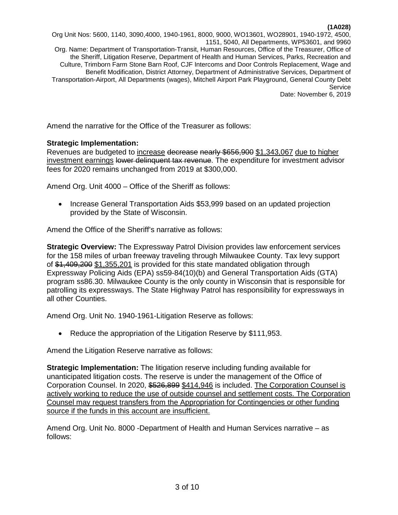Org Unit Nos: 5600, 1140, 3090,4000, 1940-1961, 8000, 9000, WO13601, WO28901, 1940-1972, 4500, 1151, 5040, All Departments, WP53601, and 9960 Org. Name: Department of Transportation-Transit, Human Resources, Office of the Treasurer, Office of the Sheriff, Litigation Reserve, Department of Health and Human Services, Parks, Recreation and Culture, Trimborn Farm Stone Barn Roof, CJF Intercoms and Door Controls Replacement, Wage and Benefit Modification, District Attorney, Department of Administrative Services, Department of Transportation-Airport, All Departments (wages), Mitchell Airport Park Playground, General County Debt Service Date: November 6, 2019

Amend the narrative for the Office of the Treasurer as follows:

### **Strategic Implementation:**

Revenues are budgeted to increase decrease nearly \$656,900 \$1,343,067 due to higher investment earnings lower delinquent tax revenue. The expenditure for investment advisor fees for 2020 remains unchanged from 2019 at \$300,000.

Amend Org. Unit 4000 – Office of the Sheriff as follows:

• Increase General Transportation Aids \$53,999 based on an updated projection provided by the State of Wisconsin.

Amend the Office of the Sheriff's narrative as follows:

**Strategic Overview:** The Expressway Patrol Division provides law enforcement services for the 158 miles of urban freeway traveling through Milwaukee County. Tax levy support of \$1,409,200 \$1,355,201 is provided for this state mandated obligation through Expressway Policing Aids (EPA) ss59-84(10)(b) and General Transportation Aids (GTA) program ss86.30. Milwaukee County is the only county in Wisconsin that is responsible for patrolling its expressways. The State Highway Patrol has responsibility for expressways in all other Counties.

Amend Org. Unit No. 1940-1961-Litigation Reserve as follows:

• Reduce the appropriation of the Litigation Reserve by \$111,953.

Amend the Litigation Reserve narrative as follows:

**Strategic Implementation:** The litigation reserve including funding available for unanticipated litigation costs. The reserve is under the management of the Office of Corporation Counsel. In 2020, \$526,899 \$414,946 is included. The Corporation Counsel is actively working to reduce the use of outside counsel and settlement costs. The Corporation Counsel may request transfers from the Appropriation for Contingencies or other funding source if the funds in this account are insufficient.

Amend Org. Unit No. 8000 -Department of Health and Human Services narrative – as follows: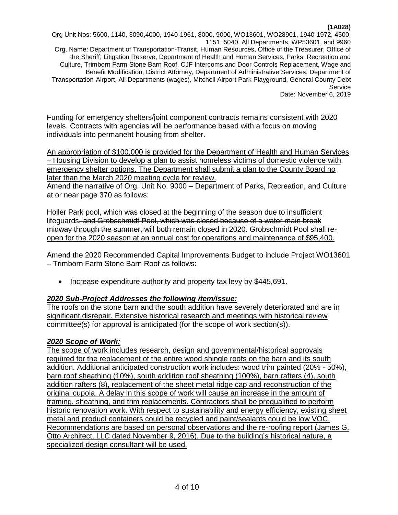Org Unit Nos: 5600, 1140, 3090,4000, 1940-1961, 8000, 9000, WO13601, WO28901, 1940-1972, 4500, 1151, 5040, All Departments, WP53601, and 9960 Org. Name: Department of Transportation-Transit, Human Resources, Office of the Treasurer, Office of the Sheriff, Litigation Reserve, Department of Health and Human Services, Parks, Recreation and Culture, Trimborn Farm Stone Barn Roof, CJF Intercoms and Door Controls Replacement, Wage and Benefit Modification, District Attorney, Department of Administrative Services, Department of Transportation-Airport, All Departments (wages), Mitchell Airport Park Playground, General County Debt Service Date: November 6, 2019

Funding for emergency shelters/joint component contracts remains consistent with 2020 levels. Contracts with agencies will be performance based with a focus on moving individuals into permanent housing from shelter.

An appropriation of \$100,000 is provided for the Department of Health and Human Services – Housing Division to develop a plan to assist homeless victims of domestic violence with emergency shelter options. The Department shall submit a plan to the County Board no later than the March 2020 meeting cycle for review.

Amend the narrative of Org. Unit No. 9000 – Department of Parks, Recreation, and Culture at or near page 370 as follows:

Holler Park pool, which was closed at the beginning of the season due to insufficient lifeguards, and Grobschmidt Pool, which was closed because of a water main break midway through the summer, will both remain closed in 2020. Grobschmidt Pool shall reopen for the 2020 season at an annual cost for operations and maintenance of \$95,400.

Amend the 2020 Recommended Capital Improvements Budget to include Project WO13601 – Trimborn Farm Stone Barn Roof as follows:

• Increase expenditure authority and property tax levy by \$445,691.

# *2020 Sub-Project Addresses the following item/issue:*

The roofs on the stone barn and the south addition have severely deteriorated and are in significant disrepair. Extensive historical research and meetings with historical review committee(s) for approval is anticipated (for the scope of work section(s)).

# *2020 Scope of Work:*

The scope of work includes research, design and governmental/historical approvals required for the replacement of the entire wood shingle roofs on the barn and its south addition. Additional anticipated construction work includes: wood trim painted (20% - 50%), barn roof sheathing (10%), south addition roof sheathing (100%), barn rafters (4), south addition rafters (8), replacement of the sheet metal ridge cap and reconstruction of the original cupola. A delay in this scope of work will cause an increase in the amount of framing, sheathing, and trim replacements. Contractors shall be prequalified to perform historic renovation work. With respect to sustainability and energy efficiency, existing sheet metal and product containers could be recycled and paint/sealants could be low VOC. Recommendations are based on personal observations and the re-roofing report (James G. Otto Architect, LLC dated November 9, 2016). Due to the building's historical nature, a specialized design consultant will be used.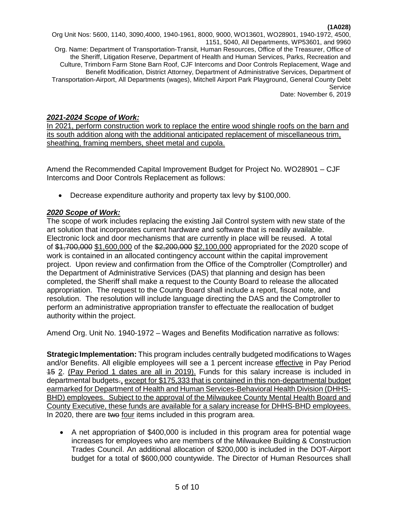Org Unit Nos: 5600, 1140, 3090,4000, 1940-1961, 8000, 9000, WO13601, WO28901, 1940-1972, 4500, 1151, 5040, All Departments, WP53601, and 9960 Org. Name: Department of Transportation-Transit, Human Resources, Office of the Treasurer, Office of the Sheriff, Litigation Reserve, Department of Health and Human Services, Parks, Recreation and Culture, Trimborn Farm Stone Barn Roof, CJF Intercoms and Door Controls Replacement, Wage and Benefit Modification, District Attorney, Department of Administrative Services, Department of Transportation-Airport, All Departments (wages), Mitchell Airport Park Playground, General County Debt Service Date: November 6, 2019

### *2021-2024 Scope of Work:*

In 2021, perform construction work to replace the entire wood shingle roofs on the barn and its south addition along with the additional anticipated replacement of miscellaneous trim, sheathing, framing members, sheet metal and cupola.

Amend the Recommended Capital Improvement Budget for Project No. WO28901 – CJF Intercoms and Door Controls Replacement as follows:

• Decrease expenditure authority and property tax levy by \$100,000.

### *2020 Scope of Work:*

The scope of work includes replacing the existing Jail Control system with new state of the art solution that incorporates current hardware and software that is readily available. Electronic lock and door mechanisms that are currently in place will be reused. A total of \$1,700,000 \$1,600,000 of the \$2,200,000 \$2,100,000 appropriated for the 2020 scope of work is contained in an allocated contingency account within the capital improvement project. Upon review and confirmation from the Office of the Comptroller (Comptroller) and the Department of Administrative Services (DAS) that planning and design has been completed, the Sheriff shall make a request to the County Board to release the allocated appropriation. The request to the County Board shall include a report, fiscal note, and resolution. The resolution will include language directing the DAS and the Comptroller to perform an administrative appropriation transfer to effectuate the reallocation of budget authority within the project.

Amend Org. Unit No. 1940-1972 – Wages and Benefits Modification narrative as follows:

**StrategicImplementation:** This program includes centrally budgeted modifications to Wages and/or Benefits. All eligible employees will see a 1 percent increase effective in Pay Period 15 2. (Pay Period 1 dates are all in 2019). Funds for this salary increase is included in departmental budgets-, except for \$175,333 that is contained in this non-departmental budget earmarked for Department of Health and Human Services-Behavioral Health Division (DHHS-BHD) employees. Subject to the approval of the Milwaukee County Mental Health Board and County Executive, these funds are available for a salary increase for DHHS-BHD employees. In 2020, there are two four items included in this program area.

• A net appropriation of \$400,000 is included in this program area for potential wage increases for employees who are members of the Milwaukee Building & Construction Trades Council. An additional allocation of \$200,000 is included in the DOT-Airport budget for a total of \$600,000 countywide. The Director of Human Resources shall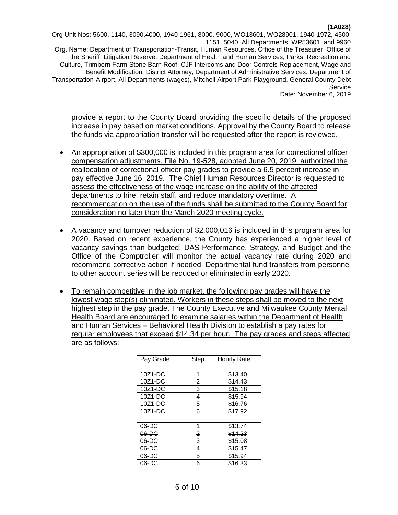Org Unit Nos: 5600, 1140, 3090,4000, 1940-1961, 8000, 9000, WO13601, WO28901, 1940-1972, 4500, 1151, 5040, All Departments, WP53601, and 9960 Org. Name: Department of Transportation-Transit, Human Resources, Office of the Treasurer, Office of the Sheriff, Litigation Reserve, Department of Health and Human Services, Parks, Recreation and Culture, Trimborn Farm Stone Barn Roof, CJF Intercoms and Door Controls Replacement, Wage and Benefit Modification, District Attorney, Department of Administrative Services, Department of Transportation-Airport, All Departments (wages), Mitchell Airport Park Playground, General County Debt **Service** Date: November 6, 2019

provide a report to the County Board providing the specific details of the proposed increase in pay based on market conditions. Approval by the County Board to release the funds via appropriation transfer will be requested after the report is reviewed.

- An appropriation of \$300,000 is included in this program area for correctional officer compensation adjustments. File No. 19-528, adopted June 20, 2019, authorized the reallocation of correctional officer pay grades to provide a 6.5 percent increase in pay effective June 16, 2019. The Chief Human Resources Director is requested to assess the effectiveness of the wage increase on the ability of the affected departments to hire, retain staff, and reduce mandatory overtime. A recommendation on the use of the funds shall be submitted to the County Board for consideration no later than the March 2020 meeting cycle.
- A vacancy and turnover reduction of \$2,000,016 is included in this program area for 2020. Based on recent experience, the County has experienced a higher level of vacancy savings than budgeted. DAS-Performance, Strategy, and Budget and the Office of the Comptroller will monitor the actual vacancy rate during 2020 and recommend corrective action if needed. Departmental fund transfers from personnel to other account series will be reduced or eliminated in early 2020.
- To remain competitive in the job market, the following pay grades will have the lowest wage step(s) eliminated. Workers in these steps shall be moved to the next highest step in the pay grade. The County Executive and Milwaukee County Mental Health Board are encouraged to examine salaries within the Department of Health and Human Services – Behavioral Health Division to establish a pay rates for regular employees that exceed \$14.34 per hour. The pay grades and steps affected are as follows:

| Pay Grade | Step           | Hourly Rate |
|-----------|----------------|-------------|
|           |                |             |
| 10Z1-DC   | $\overline{1}$ | \$13.40     |
| 10Z1-DC   | 2              | \$14.43     |
| 10Z1-DC   | 3              | \$15.18     |
| 10Z1-DC   | 4              | \$15.94     |
| $10Z1-DC$ | 5              | \$16.76     |
| $10Z1-DC$ | 6              | \$17.92     |
|           |                |             |
| $06-DC$   | 4              | \$13.74     |
| $06-DC$   | $\overline{2}$ | \$14.23     |
| 06-DC     | 3              | \$15.08     |
| 06-DC     | 4              | \$15.47     |
| 06-DC     | 5              | \$15.94     |
| 06-DC     | 6              | \$16.33     |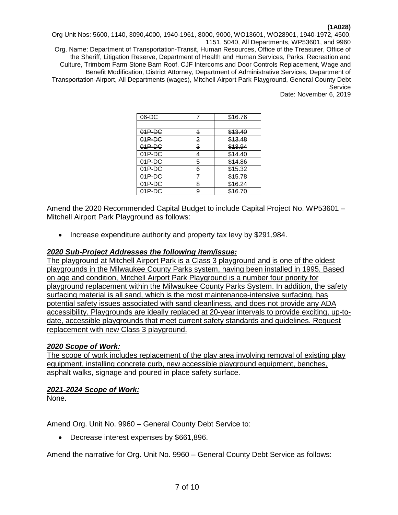Org Unit Nos: 5600, 1140, 3090,4000, 1940-1961, 8000, 9000, WO13601, WO28901, 1940-1972, 4500, 1151, 5040, All Departments, WP53601, and 9960

Org. Name: Department of Transportation-Transit, Human Resources, Office of the Treasurer, Office of the Sheriff, Litigation Reserve, Department of Health and Human Services, Parks, Recreation and Culture, Trimborn Farm Stone Barn Roof, CJF Intercoms and Door Controls Replacement, Wage and Benefit Modification, District Attorney, Department of Administrative Services, Department of Transportation-Airport, All Departments (wages), Mitchell Airport Park Playground, General County Debt **Service** 

Date: November 6, 2019

| $06-DC$   |   | \$16.76            |
|-----------|---|--------------------|
|           |   |                    |
| $04P-DC$  | 4 | \$13.40            |
| $01P-DC$  | 2 | \$13.48            |
| $04P-DC$  | 3 | <del>\$13.94</del> |
| 01P-DC    | 4 | \$14.40            |
| 01P-DC    | 5 | \$14.86            |
| $01P$ -DC | 6 | \$15.32            |
| 01P-DC    |   | \$15.78            |
| $01P-DC$  | 8 | \$16.24            |
| 01P-DC    | q | \$16.70            |

Amend the 2020 Recommended Capital Budget to include Capital Project No. WP53601 – Mitchell Airport Park Playground as follows:

• Increase expenditure authority and property tax levy by \$291,984.

### *2020 Sub-Project Addresses the following item/issue:*

The playground at Mitchell Airport Park is a Class 3 playground and is one of the oldest playgrounds in the Milwaukee County Parks system, having been installed in 1995. Based on age and condition, Mitchell Airport Park Playground is a number four priority for playground replacement within the Milwaukee County Parks System. In addition, the safety surfacing material is all sand, which is the most maintenance-intensive surfacing, has potential safety issues associated with sand cleanliness, and does not provide any ADA accessibility. Playgrounds are ideally replaced at 20-year intervals to provide exciting, up-todate, accessible playgrounds that meet current safety standards and guidelines. Request replacement with new Class 3 playground.

### *2020 Scope of Work:*

The scope of work includes replacement of the play area involving removal of existing play equipment, installing concrete curb, new accessible playground equipment, benches, asphalt walks, signage and poured in place safety surface.

# *2021-2024 Scope of Work:*

None.

Amend Org. Unit No. 9960 – General County Debt Service to:

• Decrease interest expenses by \$661,896.

Amend the narrative for Org. Unit No. 9960 – General County Debt Service as follows: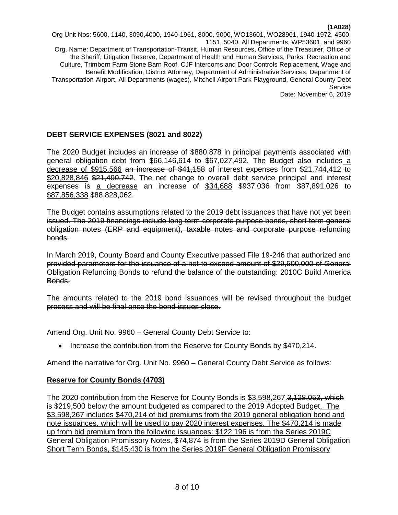Org Unit Nos: 5600, 1140, 3090,4000, 1940-1961, 8000, 9000, WO13601, WO28901, 1940-1972, 4500, 1151, 5040, All Departments, WP53601, and 9960 Org. Name: Department of Transportation-Transit, Human Resources, Office of the Treasurer, Office of the Sheriff, Litigation Reserve, Department of Health and Human Services, Parks, Recreation and Culture, Trimborn Farm Stone Barn Roof, CJF Intercoms and Door Controls Replacement, Wage and Benefit Modification, District Attorney, Department of Administrative Services, Department of Transportation-Airport, All Departments (wages), Mitchell Airport Park Playground, General County Debt **Service** Date: November 6, 2019

# **DEBT SERVICE EXPENSES (8021 and 8022)**

The 2020 Budget includes an increase of \$880,878 in principal payments associated with general obligation debt from \$66,146,614 to \$67,027,492. The Budget also includes a decrease of \$915,566 an increase of \$41,158 of interest expenses from \$21,744,412 to \$20,828,846 \$21,490,742. The net change to overall debt service principal and interest expenses is a decrease an increase of \$34,688 \$937,036 from \$87,891,026 to \$87,856,338 \$88,828,062.

The Budget contains assumptions related to the 2019 debt issuances that have not yet been issued. The 2019 financings include long term corporate purpose bonds, short term general obligation notes (ERP and equipment), taxable notes and corporate purpose refunding bonds.

In March 2019, County Board and County Executive passed File 19-246 that authorized and provided parameters for the issuance of a not-to-exceed amount of \$29,500,000 of General Obligation Refunding Bonds to refund the balance of the outstanding: 2010C Build America Bonds.

The amounts related to the 2019 bond issuances will be revised throughout the budget process and will be final once the bond issues close.

Amend Org. Unit No. 9960 – General County Debt Service to:

• Increase the contribution from the Reserve for County Bonds by \$470,214.

Amend the narrative for Org. Unit No. 9960 – General County Debt Service as follows:

# **Reserve for County Bonds (4703)**

The 2020 contribution from the Reserve for County Bonds is \$3,598,267.3,128,053, which is \$219,500 below the amount budgeted as compared to the 2019 Adopted Budget. The \$3,598,267 includes \$470,214 of bid premiums from the 2019 general obligation bond and note issuances, which will be used to pay 2020 interest expenses. The \$470,214 is made up from bid premium from the following issuances: \$122,196 is from the Series 2019C General Obligation Promissory Notes, \$74,874 is from the Series 2019D General Obligation Short Term Bonds, \$145,430 is from the Series 2019F General Obligation Promissory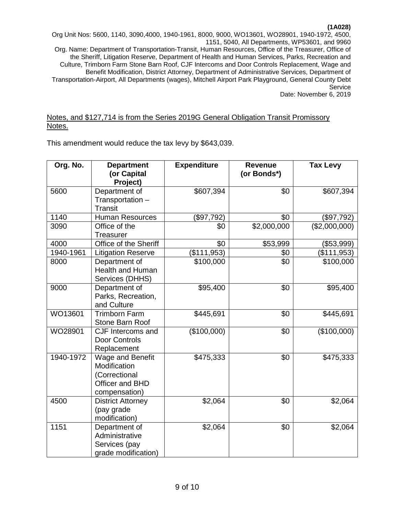Org Unit Nos: 5600, 1140, 3090,4000, 1940-1961, 8000, 9000, WO13601, WO28901, 1940-1972, 4500, 1151, 5040, All Departments, WP53601, and 9960 Org. Name: Department of Transportation-Transit, Human Resources, Office of the Treasurer, Office of the Sheriff, Litigation Reserve, Department of Health and Human Services, Parks, Recreation and Culture, Trimborn Farm Stone Barn Roof, CJF Intercoms and Door Controls Replacement, Wage and Benefit Modification, District Attorney, Department of Administrative Services, Department of Transportation-Airport, All Departments (wages), Mitchell Airport Park Playground, General County Debt Service Date: November 6, 2019

### Notes, and \$127,714 is from the Series 2019G General Obligation Transit Promissory Notes.

This amendment would reduce the tax levy by \$643,039.

| Org. No.  | <b>Department</b>                                                                     | <b>Expenditure</b> | <b>Revenue</b> | <b>Tax Levy</b> |
|-----------|---------------------------------------------------------------------------------------|--------------------|----------------|-----------------|
|           | (or Capital<br>Project)                                                               |                    | (or Bonds*)    |                 |
| 5600      | Department of<br>Transportation -<br><b>Transit</b>                                   | \$607,394          | \$0            | \$607,394       |
| 1140      | <b>Human Resources</b>                                                                | (\$97,792)         | \$0            | (\$97,792)      |
| 3090      | Office of the<br><b>Treasurer</b>                                                     | \$0                | \$2,000,000    | (\$2,000,000)   |
| 4000      | Office of the Sheriff                                                                 | \$0                | \$53,999       | (\$53,999)      |
| 1940-1961 | <b>Litigation Reserve</b>                                                             | (\$111,953)        | \$0            | (\$111,953)     |
| 8000      | Department of<br><b>Health and Human</b><br>Services (DHHS)                           | \$100,000          | \$0            | \$100,000       |
| 9000      | Department of<br>Parks, Recreation,<br>and Culture                                    | \$95,400           | \$0            | \$95,400        |
| WO13601   | <b>Trimborn Farm</b><br>Stone Barn Roof                                               | \$445,691          | \$0            | \$445,691       |
| WO28901   | CJF Intercoms and<br>Door Controls<br>Replacement                                     | (\$100,000)        | \$0            | (\$100,000)     |
| 1940-1972 | Wage and Benefit<br>Modification<br>(Correctional<br>Officer and BHD<br>compensation) | \$475,333          | \$0            | \$475,333       |
| 4500      | <b>District Attorney</b><br>(pay grade<br>modification)                               | \$2,064            | \$0            | \$2,064         |
| 1151      | Department of<br>Administrative<br>Services (pay<br>grade modification)               | \$2,064            | \$0            | \$2,064         |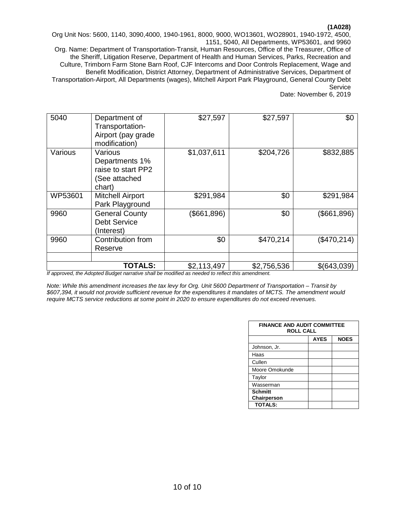Org Unit Nos: 5600, 1140, 3090,4000, 1940-1961, 8000, 9000, WO13601, WO28901, 1940-1972, 4500, 1151, 5040, All Departments, WP53601, and 9960

Org. Name: Department of Transportation-Transit, Human Resources, Office of the Treasurer, Office of the Sheriff, Litigation Reserve, Department of Health and Human Services, Parks, Recreation and Culture, Trimborn Farm Stone Barn Roof, CJF Intercoms and Door Controls Replacement, Wage and Benefit Modification, District Attorney, Department of Administrative Services, Department of Transportation-Airport, All Departments (wages), Mitchell Airport Park Playground, General County Debt Service

Date: November 6, 2019

| 5040    | Department of<br>Transportation-<br>Airport (pay grade<br>modification)    | \$27,597    | \$27,597    | \$0         |
|---------|----------------------------------------------------------------------------|-------------|-------------|-------------|
| Various | Various<br>Departments 1%<br>raise to start PP2<br>(See attached<br>chart) | \$1,037,611 | \$204,726   | \$832,885   |
| WP53601 | <b>Mitchell Airport</b><br>Park Playground                                 | \$291,984   | \$0         | \$291,984   |
| 9960    | <b>General County</b><br><b>Debt Service</b><br>(Interest)                 | (\$661,896) | \$0         | (\$661,896) |
| 9960    | Contribution from<br>Reserve                                               | \$0         | \$470,214   | (\$470,214) |
|         | <b>TOTALS:</b>                                                             | \$2,113,497 | \$2,756,536 | \$(643,039) |

*If approved, the Adopted Budget narrative shall be modified as needed to reflect this amendment.*

*Note: While this amendment increases the tax levy for Org. Unit 5600 Department of Transportation – Transit by \$607,394, it would not provide sufficient revenue for the expenditures it mandates of MCTS. The amendment would require MCTS service reductions at some point in 2020 to ensure expenditures do not exceed revenues.*

| <b>FINANCE AND AUDIT COMMITTEE</b><br><b>ROLL CALL</b> |             |             |  |
|--------------------------------------------------------|-------------|-------------|--|
|                                                        | <b>AYES</b> | <b>NOES</b> |  |
| Johnson, Jr.                                           |             |             |  |
| Haas                                                   |             |             |  |
| Cullen                                                 |             |             |  |
| Moore Omokunde                                         |             |             |  |
| Taylor                                                 |             |             |  |
| Wasserman                                              |             |             |  |
| <b>Schmitt</b>                                         |             |             |  |
| Chairperson                                            |             |             |  |
| <b>TOTALS:</b>                                         |             |             |  |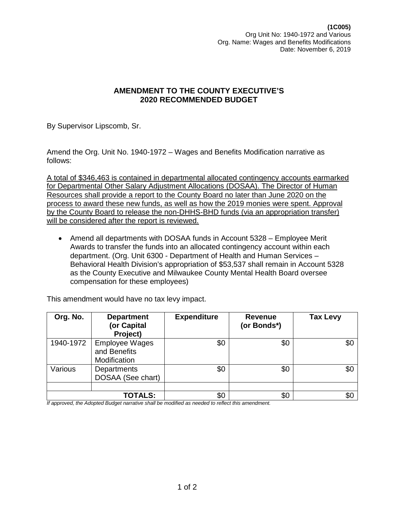By Supervisor Lipscomb, Sr.

Amend the Org. Unit No. 1940-1972 – Wages and Benefits Modification narrative as follows:

A total of \$346,463 is contained in departmental allocated contingency accounts earmarked for Departmental Other Salary Adjustment Allocations (DOSAA). The Director of Human Resources shall provide a report to the County Board no later than June 2020 on the process to award these new funds, as well as how the 2019 monies were spent. Approval by the County Board to release the non-DHHS-BHD funds (via an appropriation transfer) will be considered after the report is reviewed.

• Amend all departments with DOSAA funds in Account 5328 – Employee Merit Awards to transfer the funds into an allocated contingency account within each department. (Org. Unit 6300 - Department of Health and Human Services – Behavioral Health Division's appropriation of \$53,537 shall remain in Account 5328 as the County Executive and Milwaukee County Mental Health Board oversee compensation for these employees)

This amendment would have no tax levy impact.

| Org. No.  | <b>Department</b><br>(or Capital<br>Project)          | <b>Expenditure</b> | <b>Revenue</b><br>(or Bonds*) | <b>Tax Levy</b> |
|-----------|-------------------------------------------------------|--------------------|-------------------------------|-----------------|
| 1940-1972 | <b>Employee Wages</b><br>and Benefits<br>Modification | \$0                | \$0                           | \$0             |
| Various   | Departments<br>DOSAA (See chart)                      | \$0                | \$0                           | \$0             |
|           | <b>TOTALS:</b>                                        | \$0                | \$0                           | \$0             |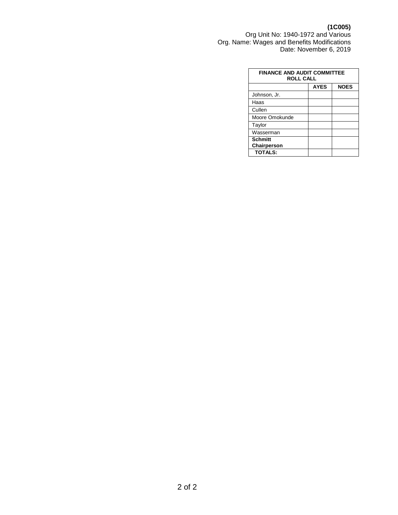#### **(1C005)**

Org Unit No: 1940-1972 and Various Org. Name: Wages and Benefits Modifications Date: November 6, 2019

| <b>FINANCE AND AUDIT COMMITTEE</b><br><b>ROLL CALL</b> |             |             |  |
|--------------------------------------------------------|-------------|-------------|--|
|                                                        | <b>AYES</b> | <b>NOES</b> |  |
| Johnson, Jr.                                           |             |             |  |
| Haas                                                   |             |             |  |
| Cullen                                                 |             |             |  |
| Moore Omokunde                                         |             |             |  |
| Taylor                                                 |             |             |  |
| Wasserman                                              |             |             |  |
| <b>Schmitt</b><br>Chairperson                          |             |             |  |
| <b>TOTALS:</b>                                         |             |             |  |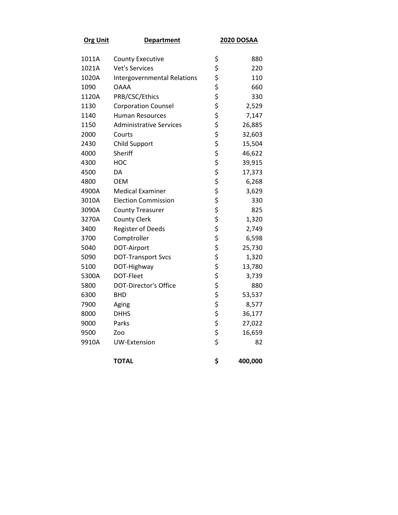| <b>Org Unit</b> | <b>Department</b>                  | <b>2020 DOSAA</b> |         |
|-----------------|------------------------------------|-------------------|---------|
| 1011A           | <b>County Executive</b>            | \$                | 880     |
| 1021A           | <b>Vet's Services</b>              | \$                | 220     |
| 1020A           | <b>Intergovernmental Relations</b> | \$                | 110     |
| 1090            | <b>OAAA</b>                        | \$                | 660     |
| 1120A           | PRB/CSC/Ethics                     | \$                | 330     |
| 1130            | <b>Corporation Counsel</b>         | \$                | 2,529   |
| 1140            | <b>Human Resources</b>             | \$                | 7,147   |
| 1150            | <b>Administrative Services</b>     | \$                | 26,885  |
| 2000            | Courts                             | \$                | 32,603  |
| 2430            | <b>Child Support</b>               | \$                | 15,504  |
| 4000            | Sheriff                            | \$                | 46,622  |
| 4300            | нос                                | \$                | 39,915  |
| 4500            | DA                                 | \$                | 17,373  |
| 4800            | <b>OEM</b>                         | \$                | 6,268   |
| 4900A           | <b>Medical Examiner</b>            | \$                | 3,629   |
| 3010A           | <b>Election Commission</b>         | \$                | 330     |
| 3090A           | <b>County Treasurer</b>            | \$                | 825     |
| 3270A           | <b>County Clerk</b>                | \$                | 1,320   |
| 3400            | <b>Register of Deeds</b>           | \$                | 2,749   |
| 3700            | Comptroller                        | \$                | 6,598   |
| 5040            | DOT-Airport                        | \$                | 25,730  |
| 5090            | <b>DOT-Transport Svcs</b>          | \$                | 1,320   |
| 5100            | DOT-Highway                        | \$                | 13,780  |
| 5300A           | DOT-Fleet                          | \$                | 3,739   |
| 5800            | <b>DOT-Director's Office</b>       | \$                | 880     |
| 6300            | <b>BHD</b>                         | \$                | 53,537  |
| 7900            | Aging                              | \$                | 8,577   |
| 8000            | <b>DHHS</b>                        | \$                | 36,177  |
| 9000            | Parks                              | \$                | 27,022  |
| 9500            | Zoo                                | \$                | 16,659  |
| 9910A           | UW-Extension                       | \$                | 82      |
|                 | <b>TOTAL</b>                       | \$                | 400,000 |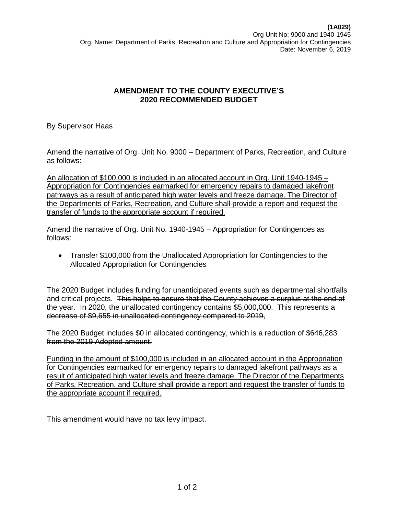By Supervisor Haas

Amend the narrative of Org. Unit No. 9000 – Department of Parks, Recreation, and Culture as follows:

An allocation of \$100,000 is included in an allocated account in Org. Unit 1940-1945 – Appropriation for Contingencies earmarked for emergency repairs to damaged lakefront pathways as a result of anticipated high water levels and freeze damage. The Director of the Departments of Parks, Recreation, and Culture shall provide a report and request the transfer of funds to the appropriate account if required.

Amend the narrative of Org. Unit No. 1940-1945 – Appropriation for Contingences as follows:

• Transfer \$100,000 from the Unallocated Appropriation for Contingencies to the Allocated Appropriation for Contingencies

The 2020 Budget includes funding for unanticipated events such as departmental shortfalls and critical projects. This helps to ensure that the County achieves a surplus at the end of the year. In 2020, the unallocated contingency contains \$5,000,000. This represents a decrease of \$9,655 in unallocated contingency compared to 2019,

The 2020 Budget includes \$0 in allocated contingency, which is a reduction of \$646,283 from the 2019 Adopted amount.

Funding in the amount of \$100,000 is included in an allocated account in the Appropriation for Contingencies earmarked for emergency repairs to damaged lakefront pathways as a result of anticipated high water levels and freeze damage. The Director of the Departments of Parks, Recreation, and Culture shall provide a report and request the transfer of funds to the appropriate account if required.

This amendment would have no tax levy impact.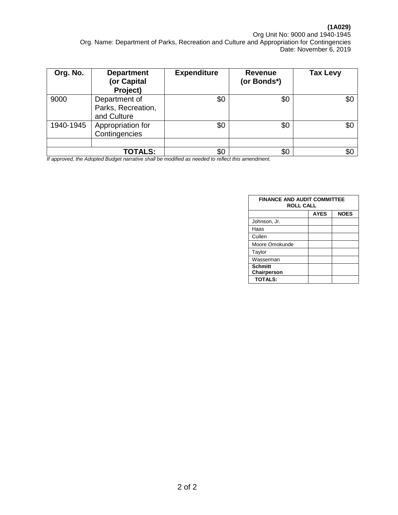# **(1A029)**

Org Unit No: 9000 and 1940-1945 Org. Name: Department of Parks, Recreation and Culture and Appropriation for Contingencies Date: November 6, 2019

| Org. No.  | <b>Department</b><br>(or Capital<br>Project)       | <b>Expenditure</b> | <b>Revenue</b><br>(or Bonds*) | <b>Tax Levy</b> |
|-----------|----------------------------------------------------|--------------------|-------------------------------|-----------------|
| 9000      | Department of<br>Parks, Recreation,<br>and Culture | \$0                | \$0                           | \$0             |
| 1940-1945 | Appropriation for<br>Contingencies                 | \$0                | \$0                           | \$0             |
|           | <b>TOTALS:</b>                                     | \$0                | \$0                           | \$С             |

| <b>FINANCE AND AUDIT COMMITTEE</b><br><b>ROLL CALL</b> |             |             |  |
|--------------------------------------------------------|-------------|-------------|--|
|                                                        | <b>AYES</b> | <b>NOES</b> |  |
| Johnson, Jr.                                           |             |             |  |
| Haas                                                   |             |             |  |
| Cullen                                                 |             |             |  |
| Moore Omokunde                                         |             |             |  |
| Taylor                                                 |             |             |  |
| Wasserman                                              |             |             |  |
| <b>Schmitt</b><br>Chairperson                          |             |             |  |
| <b>TOTALS:</b>                                         |             |             |  |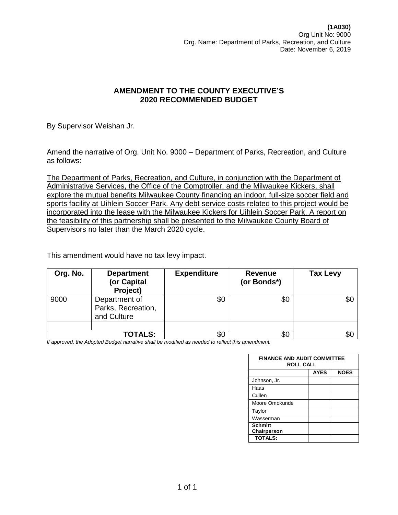By Supervisor Weishan Jr.

Amend the narrative of Org. Unit No. 9000 – Department of Parks, Recreation, and Culture as follows:

The Department of Parks, Recreation, and Culture, in conjunction with the Department of Administrative Services, the Office of the Comptroller, and the Milwaukee Kickers, shall explore the mutual benefits Milwaukee County financing an indoor, full-size soccer field and sports facility at Uihlein Soccer Park. Any debt service costs related to this project would be incorporated into the lease with the Milwaukee Kickers for Uihlein Soccer Park. A report on the feasibility of this partnership shall be presented to the Milwaukee County Board of Supervisors no later than the March 2020 cycle.

This amendment would have no tax levy impact.

| Org. No. | <b>Department</b><br>(or Capital<br>Project)       | <b>Expenditure</b> | <b>Revenue</b><br>(or Bonds*) | <b>Tax Levy</b> |
|----------|----------------------------------------------------|--------------------|-------------------------------|-----------------|
| 9000     | Department of<br>Parks, Recreation,<br>and Culture | \$0                | \$0                           | \$0             |
|          |                                                    |                    |                               |                 |
|          | <b>TOTALS:</b>                                     | \$0                | \$0                           | \$С             |

| <b>FINANCE AND AUDIT COMMITTEE</b><br><b>ROLL CALL</b> |             |             |  |  |
|--------------------------------------------------------|-------------|-------------|--|--|
|                                                        | <b>AYES</b> | <b>NOES</b> |  |  |
| Johnson, Jr.                                           |             |             |  |  |
| Haas                                                   |             |             |  |  |
| Cullen                                                 |             |             |  |  |
| Moore Omokunde                                         |             |             |  |  |
| Taylor                                                 |             |             |  |  |
| Wasserman                                              |             |             |  |  |
| <b>Schmitt</b><br>Chairperson                          |             |             |  |  |
| <b>TOTALS:</b>                                         |             |             |  |  |